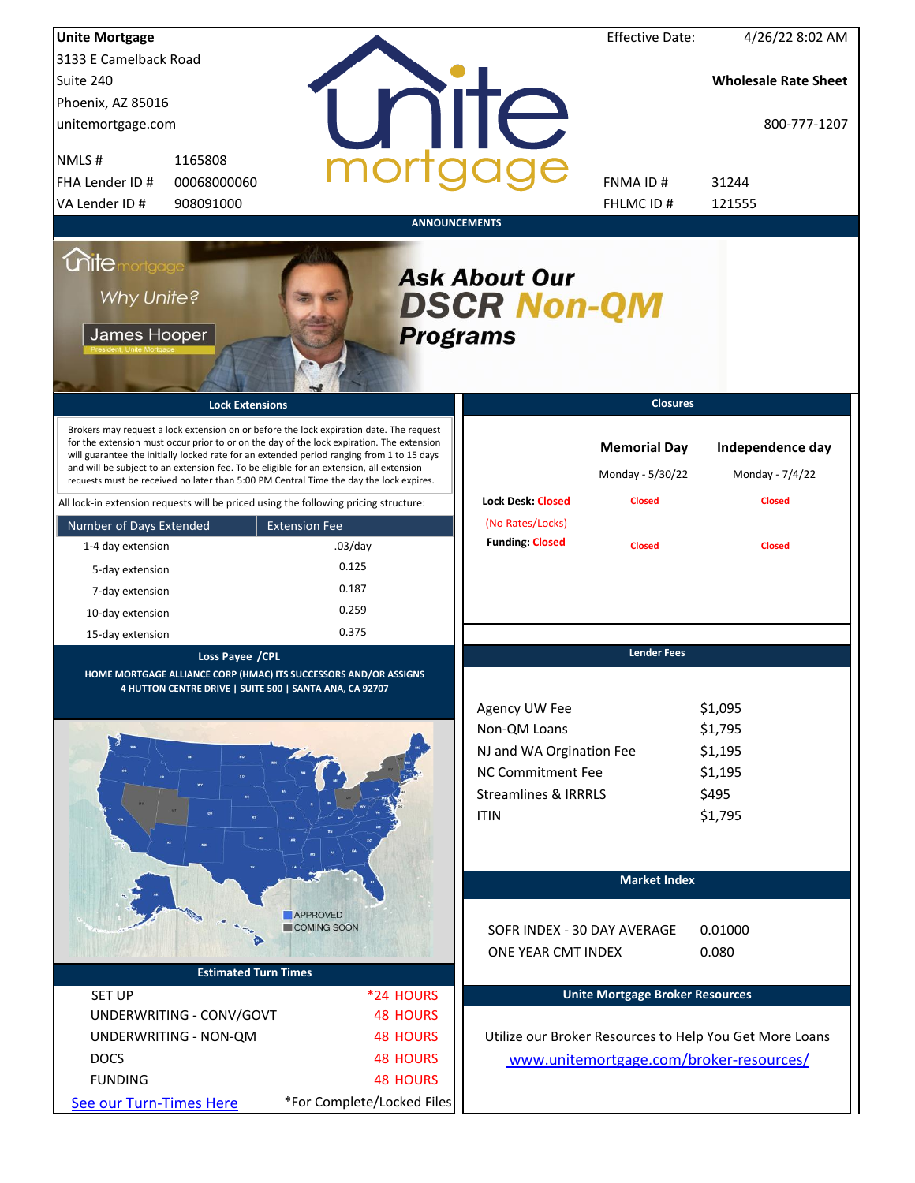| <b>Unite Mortgage</b>                                            |                                                                                                                                                                                                                                                                                                                                                                                                                                                                        |                      |                            |                                                                                                                                  | <b>Effective Date:</b>                                   | 4/26/22 8:02 AM                                              |
|------------------------------------------------------------------|------------------------------------------------------------------------------------------------------------------------------------------------------------------------------------------------------------------------------------------------------------------------------------------------------------------------------------------------------------------------------------------------------------------------------------------------------------------------|----------------------|----------------------------|----------------------------------------------------------------------------------------------------------------------------------|----------------------------------------------------------|--------------------------------------------------------------|
| 3133 E Camelback Road                                            |                                                                                                                                                                                                                                                                                                                                                                                                                                                                        |                      |                            |                                                                                                                                  |                                                          |                                                              |
| Suite 240                                                        |                                                                                                                                                                                                                                                                                                                                                                                                                                                                        |                      |                            |                                                                                                                                  |                                                          | <b>Wholesale Rate Sheet</b>                                  |
| Phoenix, AZ 85016                                                |                                                                                                                                                                                                                                                                                                                                                                                                                                                                        |                      |                            |                                                                                                                                  |                                                          |                                                              |
| unitemortgage.com                                                |                                                                                                                                                                                                                                                                                                                                                                                                                                                                        |                      |                            | <b>TITE</b>                                                                                                                      |                                                          | 800-777-1207                                                 |
| NMLS#                                                            | 1165808                                                                                                                                                                                                                                                                                                                                                                                                                                                                |                      |                            |                                                                                                                                  |                                                          |                                                              |
| FHA Lender ID #                                                  | 00068000060                                                                                                                                                                                                                                                                                                                                                                                                                                                            |                      |                            |                                                                                                                                  | FNMA ID#                                                 | 31244                                                        |
| VA Lender ID #                                                   | 908091000                                                                                                                                                                                                                                                                                                                                                                                                                                                              |                      |                            |                                                                                                                                  | <b>FHLMCID#</b>                                          | 121555                                                       |
|                                                                  |                                                                                                                                                                                                                                                                                                                                                                                                                                                                        |                      |                            | <b>ANNOUNCEMENTS</b>                                                                                                             |                                                          |                                                              |
| <i><u><b>Chitemortgage</b></u></i><br>Why Unite?<br>James Hooper |                                                                                                                                                                                                                                                                                                                                                                                                                                                                        |                      |                            | <b>Ask About Our</b><br><b>DSCR Non-QM</b><br><b>Programs</b>                                                                    |                                                          |                                                              |
|                                                                  | <b>Lock Extensions</b>                                                                                                                                                                                                                                                                                                                                                                                                                                                 |                      |                            |                                                                                                                                  | <b>Closures</b>                                          |                                                              |
|                                                                  | Brokers may request a lock extension on or before the lock expiration date. The request<br>for the extension must occur prior to or on the day of the lock expiration. The extension<br>will guarantee the initially locked rate for an extended period ranging from 1 to 15 days<br>and will be subject to an extension fee. To be eligible for an extension, all extension<br>requests must be received no later than 5:00 PM Central Time the day the lock expires. |                      |                            | <b>Lock Desk: Closed</b>                                                                                                         | <b>Memorial Day</b><br>Monday - 5/30/22<br><b>Closed</b> | Independence day<br>Monday - 7/4/22<br><b>Closed</b>         |
|                                                                  | All lock-in extension requests will be priced using the following pricing structure:                                                                                                                                                                                                                                                                                                                                                                                   |                      |                            |                                                                                                                                  |                                                          |                                                              |
| Number of Days Extended                                          |                                                                                                                                                                                                                                                                                                                                                                                                                                                                        | <b>Extension Fee</b> |                            | (No Rates/Locks)<br><b>Funding: Closed</b>                                                                                       |                                                          |                                                              |
| 1-4 day extension                                                |                                                                                                                                                                                                                                                                                                                                                                                                                                                                        | $.03$ /day           |                            |                                                                                                                                  | <b>Closed</b>                                            | <b>Closed</b>                                                |
| 5-day extension                                                  |                                                                                                                                                                                                                                                                                                                                                                                                                                                                        | 0.125                |                            |                                                                                                                                  |                                                          |                                                              |
| 7-day extension                                                  |                                                                                                                                                                                                                                                                                                                                                                                                                                                                        | 0.187                |                            |                                                                                                                                  |                                                          |                                                              |
| 10-day extension                                                 |                                                                                                                                                                                                                                                                                                                                                                                                                                                                        | 0.259                |                            |                                                                                                                                  |                                                          |                                                              |
| 15-day extension                                                 |                                                                                                                                                                                                                                                                                                                                                                                                                                                                        | 0.375                |                            |                                                                                                                                  |                                                          |                                                              |
|                                                                  | Loss Payee / CPL<br>HOME MORTGAGE ALLIANCE CORP (HMAC) ITS SUCCESSORS AND/OR ASSIGNS<br>4 HUTTON CENTRE DRIVE   SUITE 500   SANTA ANA, CA 92707                                                                                                                                                                                                                                                                                                                        |                      |                            | Agency UW Fee<br>Non-QM Loans<br>NJ and WA Orgination Fee<br>NC Commitment Fee<br><b>Streamlines &amp; IRRRLS</b><br><b>ITIN</b> | <b>Lender Fees</b>                                       | \$1,095<br>\$1,795<br>\$1,195<br>\$1,195<br>\$495<br>\$1,795 |
|                                                                  |                                                                                                                                                                                                                                                                                                                                                                                                                                                                        |                      |                            |                                                                                                                                  | <b>Market Index</b>                                      |                                                              |
|                                                                  |                                                                                                                                                                                                                                                                                                                                                                                                                                                                        | <b>APPROVED</b>      |                            |                                                                                                                                  |                                                          |                                                              |
|                                                                  |                                                                                                                                                                                                                                                                                                                                                                                                                                                                        | COMING SOON          |                            | SOFR INDEX - 30 DAY AVERAGE                                                                                                      |                                                          | 0.01000                                                      |
|                                                                  |                                                                                                                                                                                                                                                                                                                                                                                                                                                                        |                      |                            | ONE YEAR CMT INDEX                                                                                                               |                                                          | 0.080                                                        |
|                                                                  | <b>Estimated Turn Times</b>                                                                                                                                                                                                                                                                                                                                                                                                                                            |                      |                            |                                                                                                                                  |                                                          |                                                              |
| <b>SET UP</b>                                                    |                                                                                                                                                                                                                                                                                                                                                                                                                                                                        |                      | *24 HOURS                  |                                                                                                                                  | <b>Unite Mortgage Broker Resources</b>                   |                                                              |
|                                                                  | UNDERWRITING - CONV/GOVT                                                                                                                                                                                                                                                                                                                                                                                                                                               |                      | <b>48 HOURS</b>            |                                                                                                                                  |                                                          |                                                              |
|                                                                  | UNDERWRITING - NON-QM                                                                                                                                                                                                                                                                                                                                                                                                                                                  |                      | <b>48 HOURS</b>            |                                                                                                                                  |                                                          | Utilize our Broker Resources to Help You Get More Loans      |
| <b>DOCS</b>                                                      |                                                                                                                                                                                                                                                                                                                                                                                                                                                                        |                      | <b>48 HOURS</b>            |                                                                                                                                  |                                                          | www.unitemortgage.com/broker-resources/                      |
| <b>FUNDING</b>                                                   |                                                                                                                                                                                                                                                                                                                                                                                                                                                                        |                      | <b>48 HOURS</b>            |                                                                                                                                  |                                                          |                                                              |
| See our Turn-Times Here                                          |                                                                                                                                                                                                                                                                                                                                                                                                                                                                        |                      | *For Complete/Locked Files |                                                                                                                                  |                                                          |                                                              |
|                                                                  |                                                                                                                                                                                                                                                                                                                                                                                                                                                                        |                      |                            |                                                                                                                                  |                                                          |                                                              |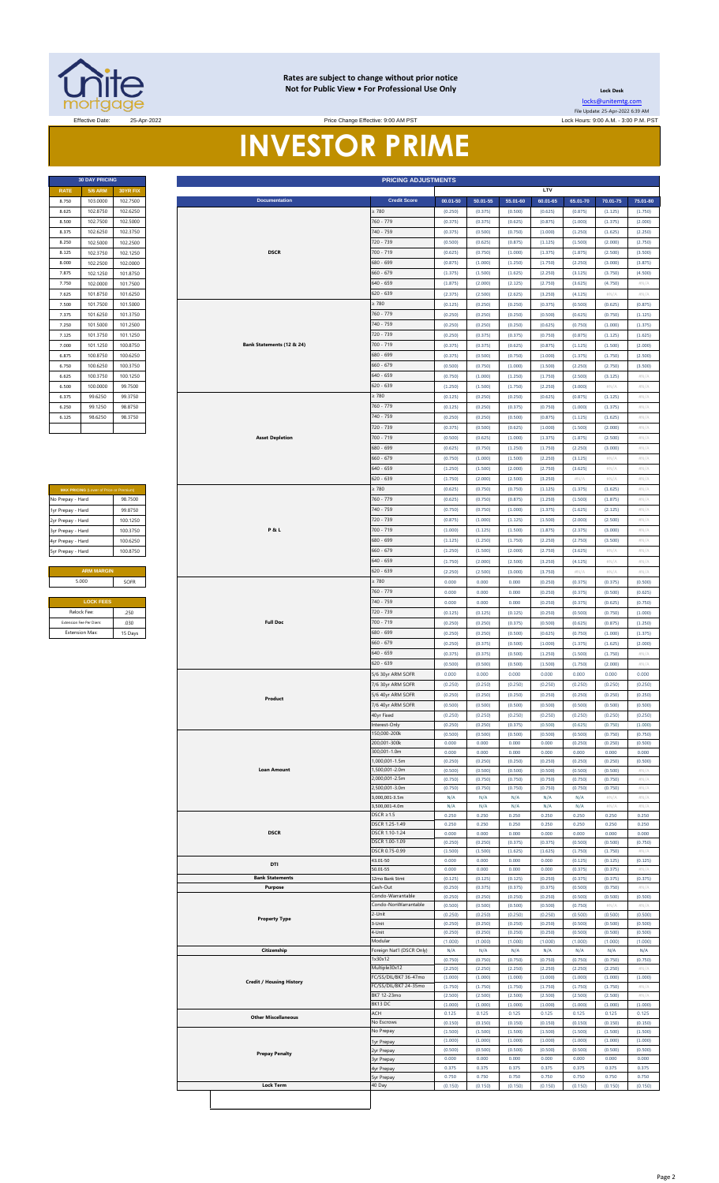

#### **Rates are subject to change without prior notice Not for Public View • For Professional Use Only**

**Lock Desk** [locks@unitemtg](mailto:locks@unitemtg.com).com File Update: 25-Apr-2022 6:39 AM

### Effective Date: 25-Apr-2022 Lock Hours: 9:00 A.M. - 3:00 P.M. PST **INVESTOR PRIME** Price Change Effective: 9:00 AM PST

| <b>RATE</b> | <b>5/6 ARM</b> | 30YR FIX |
|-------------|----------------|----------|
| 8.750       | 103.0000       | 102.7500 |
| 8.625       | 102.8750       | 102.6250 |
| 8.500       | 102.7500       | 102.5000 |
| 8.375       | 102 6250       | 1023750  |
| 8.250       | 102.5000       | 102.2500 |
| 8.125       | 102.3750       | 102.1250 |
| 8.000       | 102.2500       | 102.0000 |
| 7.875       | 102.1250       | 101.8750 |
| 7.750       | 102,0000       | 101.7500 |
| 7.625       | 101.8750       | 101.6250 |
| 7.500       | 101.7500       | 101.5000 |
| 7.375       | 101.6250       | 101.3750 |
| 7.250       | 101.5000       | 101.2500 |
| 7.125       | 101.3750       | 101.1250 |
| 7.000       | 101.1250       | 100.8750 |
| 6.875       | 100.8750       | 100.6250 |
| 6.750       | 100.6250       | 100.3750 |
| 6.625       | 100 3750       | 100 1250 |
| 6.500       | 100,0000       | 99.7500  |
| 6.375       | 99.6250        | 99.3750  |
| 6.250       | 99 1250        | 98.8750  |
| 6.125       | 986250         | 98 3750  |
|             |                |          |

| <b>MAX PRICING (Lower of Price or Premium)</b> |          |  |  |  |  |  |
|------------------------------------------------|----------|--|--|--|--|--|
| No Prepay - Hard                               | 98.7500  |  |  |  |  |  |
| 1yr Prepay - Hard                              | 99 8750  |  |  |  |  |  |
| 2yr Prepay - Hard                              | 100 1250 |  |  |  |  |  |
| 3yr Prepay - Hard                              | 100 3750 |  |  |  |  |  |
| 4yr Prepay - Hard                              | 100 6250 |  |  |  |  |  |
| 5yr Prepay - Hard                              | 100.8750 |  |  |  |  |  |
|                                                |          |  |  |  |  |  |
| <b>ARM MARGIN</b>                              |          |  |  |  |  |  |
| 5.000<br>SOFR                                  |          |  |  |  |  |  |
|                                                |          |  |  |  |  |  |
| <b>LOCK FEES</b>                               |          |  |  |  |  |  |
|                                                |          |  |  |  |  |  |

| Relock Fee:             | 250     |
|-------------------------|---------|
| Extension Fee Per Diem: | 030     |
| <b>Extension Max:</b>   | 15 Days |

|                   | <b>30 DAY PRICING</b>                   |                      |                                 | <b>PRICING ADJUSTMENTS</b>        |                    |                    |                    |                    |                    |                            |                            |
|-------------------|-----------------------------------------|----------------------|---------------------------------|-----------------------------------|--------------------|--------------------|--------------------|--------------------|--------------------|----------------------------|----------------------------|
| <b>RATE</b>       | <b>5/6 ARM</b><br>103.0000              | 30YR FIX<br>102.7500 | <b>Documentation</b>            | <b>Credit Score</b>               | 00.01-50           | 50.01-55           | 55.01-60           | LTV<br>60.01-65    | 65.01-70           | 70.01-75                   | 75.01-80                   |
| 8.750<br>8.625    | 102.8750                                | 102.6250             |                                 | $\geq 780$                        | (0.250)            | (0.375)            | (0.500)            | (0.625)            | (0.875)            | (1.125)                    | (1.750)                    |
| 8.500             | 102.7500                                | 102.5000             |                                 | 760 - 779                         | (0.375)            | (0.375)            | (0.625)            | (0.875)            | (1.000)            | (1.375)                    | (2.000)                    |
| 8.375             | 102.6250                                | 102.3750             |                                 | 740 - 759                         | (0.375)            | (0.500)            | (0.750)            | (1.000)            | (1.250)            | (1.625)                    | (2.250)                    |
| 8.250             | 102.5000                                | 102.2500             |                                 | 720 - 739                         | (0.500)            | (0.625)            | (0.875)            | (1.125)            | (1.500)            | (2.000)                    | (2.750)                    |
| 8.125             | 102.3750                                | 102.1250             | <b>DSCR</b>                     | 700 - 719                         | (0.625)            | (0.750)            | (1.000)            | (1.375)            | (1.875)            | (2.500)                    | (3.500)                    |
| 8.000             | 102.2500                                | 102.0000             |                                 | 680 - 699                         | (0.875)            | (1.000)            | (1.250)            | (1.750)            | (2.250)            | (3.000)                    | (3.875)                    |
| 7.875             | 102.1250                                | 101.8750             |                                 | $660 - 679$                       | (1.375)            | (1.500)            | (1.625)            | (2.250)            | (3.125)            | (3.750)                    | (4.500)                    |
| 7.750             | 102.0000                                | 101.7500             |                                 |                                   | (1.875)            | (2.000)            | (2.125)            | (2.750)            | (3.625)            | (4.750)                    | $\#N/A$                    |
| 7.625             | 101.8750                                | 101.6250             |                                 | $640 - 659$<br>620 - 639          | (2.375)            | (2.500)            | (2.625)            | (3.250)            | (4.125)            | #N/A                       | #N/A                       |
| 7.500             | 101.7500                                | 101.5000             |                                 | $\geq 780$                        | (0.125)            | (0.250)            | (0.250)            | (0.375)            | (0.500)            | (0.625)                    | (0.875)                    |
| 7.375             | 101.6250                                | 101.3750             |                                 | 760 - 779                         | (0.250)            | (0.250)            | (0.250)            | (0.500)            | (0.625)            | (0.750)                    | (1.125)                    |
| 7.250             | 101.5000                                | 101.2500             |                                 | 740 - 759                         | (0.250)            | (0.250)            | (0.250)            | (0.625)            | (0.750)            | (1.000)                    | (1.375)                    |
| 7.125             | 101.3750                                | 101.1250             |                                 | 720 - 739                         | (0.250)            | (0.375)            | (0.375)            | (0.750)            | (0.875)            | (1.125)                    | (1.625)                    |
| 7.000             | 101.1250                                | 100.8750             | Bank Statements (12 & 24)       | 700 - 719                         | (0.375)            | (0.375)            | (0.625)            | (0.875)            | (1.125)            | (1.500)                    | (2.000)                    |
| 6.875             | 100.8750                                | 100.6250             |                                 | 680 - 699                         | (0.375)            | (0.500)            | (0.750)            | (1.000)            | (1.375)            | (1.750)                    | (2.500)                    |
| 6.750             | 100.6250                                | 100.3750             |                                 | $660 - 679$                       | (0.500)            | (0.750)            | (1.000)            | (1.500)            | (2.250)            | (2.750)                    | (3.500)                    |
| 6.625             | 100.3750                                | 100.1250             |                                 | $640 - 659$                       | (0.750)            | (1.000)            | (1.250)            | (1.750)            | (2.500)            | (3.125)                    | $\#N/A$                    |
| 6.500             | 100.0000                                | 99.7500              |                                 | $620 - 639$                       | (1.250)            | (1.500)            | (1.750)            | (2.250)            | (3.000)            | $\#N/A$                    | #N/A                       |
|                   |                                         | 99.3750              |                                 | $\geq 780$                        |                    |                    |                    |                    |                    |                            |                            |
| 6.375<br>6.250    | 99.6250<br>99.1250                      | 98.8750              |                                 | 760 - 779                         | (0.125)            | (0.250)            | (0.250)            | (0.625)            | (0.875)<br>(1.000) | (1.125)                    | #N/A                       |
| 6.125             |                                         |                      |                                 | 740 - 759                         | (0.125)<br>(0.250) | (0.250)<br>(0.250) | (0.375)<br>(0.500) | (0.750)<br>(0.875) |                    | (1.375)                    | #N/A<br>#N/A               |
|                   | 98.6250                                 | 98.3750              |                                 |                                   |                    |                    |                    |                    | (1.125)            | (1.625)                    |                            |
|                   |                                         |                      |                                 | 720 - 739                         | (0.375)            | (0.500)            | (0.625)            | (1.000)            | (1.500)            | (2.000)                    | #N/A                       |
|                   |                                         |                      | <b>Asset Depletion</b>          | 700 - 719                         | (0.500)            | (0.625)            | (1.000)            | (1.375)            | (1.875)            | (2.500)                    | #N/A                       |
|                   |                                         |                      |                                 | 680 - 699                         | (0.625)            | (0.750)            | (1.250)            | (1.750)            | (2.250)            | (3.000)                    | #N/A                       |
|                   |                                         |                      |                                 | $660 - 679$<br>$640 - 659$        | (0.750)            | (1.000)            | (1.500)            | (2.250)            | (3.125)            | #N//                       | #N/A                       |
|                   |                                         |                      |                                 | $620 - 639$                       | (1.250)            | (1.500)            | (2.000)            | (2.750)            | (3.625)            | $\# \mathbb{N}/\mathbb{A}$ | $\# \mathbb{N}/\mathbb{A}$ |
|                   |                                         |                      |                                 | $\geq 780$                        | (1.750)            | (2.000)            | (2.500)            | (3.250)            | $\#N/A$            | $\#N/A$                    | #N/A                       |
|                   | MAX PRICING (Lower of Price or Premium) |                      |                                 |                                   | (0.625)            | (0.750)            | (0.750)            | (1.125)            | (1.375)            | (1.625)                    | #N/A                       |
| No Prepay - Hard  |                                         | 98.7500              |                                 | 760 - 779                         | (0.625)            | (0.750)            | (0.875)            | (1.250)            | (1.500)            | (1.875)                    | #N/A                       |
| 1yr Prepay - Hard |                                         | 99.8750              |                                 | 740 - 759                         | (0.750)            | (0.750)            | (1.000)            | (1.375)            | (1.625)            | (2.125)                    | $\#N/A$                    |
| 2yr Prepay - Hard |                                         | 100.1250             |                                 | 720 - 739                         | (0.875)            | (1.000)            | (1.125)            | (1.500)            | (2.000)            | (2.500)                    | #N/A                       |
| 3yr Prepay - Hard |                                         | 100.3750             | <b>P&amp;L</b>                  | 700 - 719                         | (1.000)            | (1.125)            | (1.500)            | (1.875)            | (2.375)            | (3.000)                    | #N/A                       |
| 4yr Prepay - Hard |                                         | 100.6250             |                                 | 680 - 699                         | (1.125)            | (1.250)            | (1.750)            | (2.250)            | (2.750)            | (3.500)                    | #N/A                       |
| Syr Prepay - Hard |                                         | 100.8750             |                                 | $660 - 679$                       | (1.250)            | (1.500)            | (2.000)            | (2.750)            | (3.625)            | #N/A                       | #N/A                       |
|                   |                                         |                      |                                 | 640 - 659                         | (1.750)            | (2.000)            | (2.500)            | (3.250)            | (4.125)            | #N/A                       | #N/A                       |
|                   | <b>ARM MARGIN</b>                       |                      |                                 | 620 - 639                         | (2.250)            | (2.500)            | (3.000)            | (3.750)            | #N/A               | #N/A                       | #N/A                       |
|                   | 5.000                                   | SOFR                 |                                 | $\geq 780$                        | 0.000              | 0.000              | 0.000              | (0.250)            | (0.375)            | (0.375)                    | (0.500)                    |
|                   |                                         |                      |                                 | 760 - 779                         | 0.000              | 0.000              | 0.000              | (0.250)            | (0.375)            | (0.500)                    | (0.625)                    |
|                   | <b>LOCK FEES</b>                        |                      |                                 | 740 - 759                         | 0.000              | 0.000              | 0.000              | (0.250)            | (0.375)            | (0.625)                    | (0.750)                    |
|                   | Relock Fee:                             | .250                 |                                 | 720 - 739                         | (0.125)            | (0.125)            | (0.125)            | (0.250)            | (0.500)            | (0.750)                    | (1.000)                    |
|                   | Extension Fee Per Diem:                 | .030                 | <b>Full Doc</b>                 | 700 - 719                         | (0.250)            | (0.250)            | (0.375)            | (0.500)            | (0.625)            | (0.875)                    | (1.250)                    |
|                   | <b>Extension Max:</b>                   | 15 Days              |                                 | 680 - 699                         | (0.250)            | (0.250)            | (0.500)            | (0.625)            | (0.750)            | (1.000)                    | (1.375)                    |
|                   |                                         |                      |                                 | $660 - 679$                       | (0.250)            | (0.375)            | (0.500)            | (1.000)            | (1.375)            | (1.625)                    | (2.000)                    |
|                   |                                         |                      |                                 | $640 - 659$                       | (0.375)            | (0.375)            | (0.500)            | (1.250)            | (1.500)            | (1.750)                    | #N/A                       |
|                   |                                         |                      |                                 | $620 - 639$                       | (0.500)            | (0.500)            | (0.500)            | (1.500)            | (1.750)            | (2.000)                    | $\#N/A$                    |
|                   |                                         |                      |                                 | 5/6 30yr ARM SOFR                 | 0.000              | 0.000              | 0.000              | 0.000              | 0.000              | 0.000                      | 0.000                      |
|                   |                                         |                      |                                 | 7/6 30yr ARM SOFR                 | (0.250)            | (0.250)            | (0.250)            | (0.250)            | (0.250)            | (0.250)                    | (0.250)                    |
|                   |                                         |                      | Product                         | 5/6 40yr ARM SOFR                 | (0.250)            | (0.250)            | (0.250)            | (0.250)            | (0.250)            | (0.250)                    | (0.250)                    |
|                   |                                         |                      |                                 | 7/6 40yr ARM SOFR                 | (0.500)            | (0.500)            | (0.500)            | (0.500)            | (0.500)            | (0.500)                    | (0.500)                    |
|                   |                                         |                      |                                 | 40yr Fixed                        | (0.250)            | (0.250)            | (0.250)            | (0.250)            | (0.250)            | (0.250)                    | (0.250)                    |
|                   |                                         |                      |                                 | nterest-Only<br>150,000-200k      | (0.250)            | (0.250)            | (0.375)            | (0.500)            | (0.625)            | (0.750)                    | (1.000)                    |
|                   |                                         |                      |                                 | 200,001-300k                      | (0.500)<br>0.000   | (0.500)<br>0.000   | (0.500)<br>0.000   | (0.500)<br>0.000   | (0.500)<br>(0.250) | (0.750)<br>(0.250)         | (0.750)<br>(0.500)         |
|                   |                                         |                      |                                 | 300,001-1.0m                      | 0.000              | 0.000              | 0.000              | 0.000              | 0.000              | 0.000                      | 0.000                      |
|                   |                                         |                      |                                 | ,000,001-1.5m                     | (0.250)            | (0.250)            | (0.250)            | (0.250)            | (0.250)            | (0.250)                    | (0.500)                    |
|                   |                                         |                      | <b>Loan Amount</b>              | ,500,001-2.0m                     | (0.500)            | (0.500)            | (0.500)            | (0.500)            | (0.500)            | (0.500)                    | $\#N/A$                    |
|                   |                                         |                      |                                 | 2,000,001-2.5m                    | (0.750)            | (0.750)            | (0.750)            | (0.750)            | (0.750)            | (0.750)                    | #N/A                       |
|                   |                                         |                      |                                 | 2,500,001-3.0m                    | (0.750)            | (0.750)            | (0.750)            | (0.750)            | (0.750)            | (0.750)                    | #N/A                       |
|                   |                                         |                      |                                 | 3,000,001-3.5m                    | N/A                | N/A                | N/A                | N/A                | N/A                | $\#N/F$                    | $\#N/F$                    |
|                   |                                         |                      |                                 | 3,500,001-4.0m                    | N/A                | N/A                | N/A                | N/A                | N/A                | #N/A                       | #N/A                       |
|                   |                                         |                      |                                 | $DSCR \geq 1.5$<br>DSCR 1.25-1.49 | 0.250<br>0.250     | 0.250<br>0.250     | 0.250<br>0.250     | 0.250<br>0.250     | 0.250<br>0.250     | 0.250<br>0.250             | 0.250<br>0.250             |
|                   |                                         |                      | <b>DSCR</b>                     | DSCR 1.10-1.24                    | 0.000              | 0.000              | 0.000              | 0.000              | 0.000              | 0.000                      | 0.000                      |
|                   |                                         |                      |                                 | DSCR 1.00-1.09                    | (0.250)            | (0.250)            | (0.375)            | (0.375)            | (0.500)            | (0.500)                    | (0.750)                    |
|                   |                                         |                      |                                 | DSCR 0.75-0.99                    | (1.500)            | (1.500)            | (1.625)            | (1.625)            | (1.750)            | (1.750)                    | #N/A                       |
|                   |                                         |                      | DTI                             | 43.01-50                          | 0.000              | 0.000              | 0.000              | 0.000              | (0.125)            | (0.125)                    | (0.125)                    |
|                   |                                         |                      |                                 | 50.01-55                          | 0.000              | 0.000              | 0.000              | 0.000              | (0.375)            | (0.375)                    | #N/ $/$                    |
|                   |                                         |                      | <b>Bank Statements</b>          | 12mo Bank Stmt                    | (0.125)            | (0.125)            | (0.125)            | (0.250)            | (0.375)            | (0.375)                    | (0.375)                    |
|                   |                                         |                      | Purpose                         | Cash-Out<br>Condo-Warrantable     | (0.250)<br>(0.250) | (0.375)<br>(0.250) | (0.375)<br>(0.250) | (0.375)<br>(0.250) | (0.500)            | (0.750)<br>(0.500)         | $\#N/I$                    |
|                   |                                         |                      |                                 | Condo-NonWarrantable              | (0.500)            | (0.500)            | (0.500)            | (0.500)            | (0.500)<br>(0.750) | #N)                        | (0.500)<br>#N/             |
|                   |                                         |                      |                                 | -Unit                             | (0.250)            | (0.250)            | (0.250)            | (0.250)            | (0.500)            | (0.500)                    | (0.500)                    |
|                   |                                         |                      | <b>Property Type</b>            | -Unit                             | (0.250)            | (0.250)            | (0.250)            | (0.250)            | (0.500)            | (0.500)                    | (0.500)                    |
|                   |                                         |                      |                                 | I-Unit                            | (0.250)            | (0.250)            | (0.250)            | (0.250)            | (0.500)            | (0.500)                    | (0.500)                    |
|                   |                                         |                      |                                 | Modular                           | (1.000)            | (1.000)            | (1.000)            | (1.000)            | (1.000)            | (1.000)                    | (1.000)                    |
|                   |                                         |                      | Citizenship                     | Foreign Nat'l (DSCR Only)         | N/A                | N/A                | N/A                | N/A                | N/A                | N/A                        | N/A                        |
|                   |                                         |                      |                                 | x30x12<br>Multiple30x12           | (0.750)            | (0.750)            | (0.750)            | (0.750)            | (0.750)            | (0.750)                    | (0.750)<br>$\#N/I$         |
|                   |                                         |                      |                                 | FC/SS/DIL/BK7 36-47mo             | (2.250)<br>(1.000) | (2.250)<br>(1.000) | (2.250)<br>(1.000) | (2.250)<br>(1.000) | (2.250)<br>(1.000) | (2.250)<br>(1.000)         | (1.000)                    |
|                   |                                         |                      | <b>Credit / Housing History</b> | FC/SS/DIL/BK7 24-35mo             | (1.750)            | (1.750)            | (1.750)            | (1.750)            | (1.750)            | (1.750)                    | #N/                        |
|                   |                                         |                      |                                 | BK7 12-23mo                       | (2.500)            | (2.500)            | (2.500)            | (2.500)            | (2.500)            | (2.500)                    | #N/A                       |
|                   |                                         |                      |                                 | BK13 DC                           | (1.000)            | (1.000)            | (1.000)            | (1.000)            | (1.000)            | (1.000)                    | (1.000)                    |
|                   |                                         |                      | <b>Other Miscellaneous</b>      | ACH                               | 0.125              | 0.125              | 0.125              | 0.125              | 0.125              | 0.125                      | 0.125                      |
|                   |                                         |                      |                                 | No Escrows                        | (0.150)            | (0.150)            | (0.150)            | (0.150)            | (0.150)            | (0.150)                    | (0.150)                    |
|                   |                                         |                      |                                 | No Prepay                         | (1.500)            | (1.500)            | (1.500)            | (1.500)            | (1.500)            | (1.500)                    | (1.500)                    |
|                   |                                         |                      |                                 | 1yr Prepay<br>yr Prepay           | (1.000)<br>(0.500) | (1.000)<br>(0.500) | (1.000)<br>(0.500) | (1.000)<br>(0.500) | (1.000)<br>(0.500) | (1.000)<br>(0.500)         | (1.000)<br>(0.500)         |
|                   |                                         |                      | <b>Prepay Penalty</b>           | 3yr Prepay                        | 0.000              | 0.000              | 0.000              | 0.000              | 0.000              | 0.000                      | 0.000                      |
|                   |                                         |                      |                                 | 4yr Prepay                        | 0.375              | 0.375              | 0.375              | 0.375              | 0.375              | 0.375                      | 0.375                      |
|                   |                                         |                      |                                 | yr Prepay                         | 0.750              | 0.750              | 0.750              | 0.750              | 0.750              | 0.750                      | 0.750                      |
|                   |                                         |                      | <b>Lock Term</b>                | 40 Day                            | (0.150)            | (0.150)            | (0.150)            | (0.150)            | (0.150)            | (0.150)                    | (0.150)                    |
|                   |                                         |                      |                                 |                                   |                    |                    |                    |                    |                    |                            |                            |
|                   |                                         |                      |                                 |                                   |                    |                    |                    |                    |                    |                            |                            |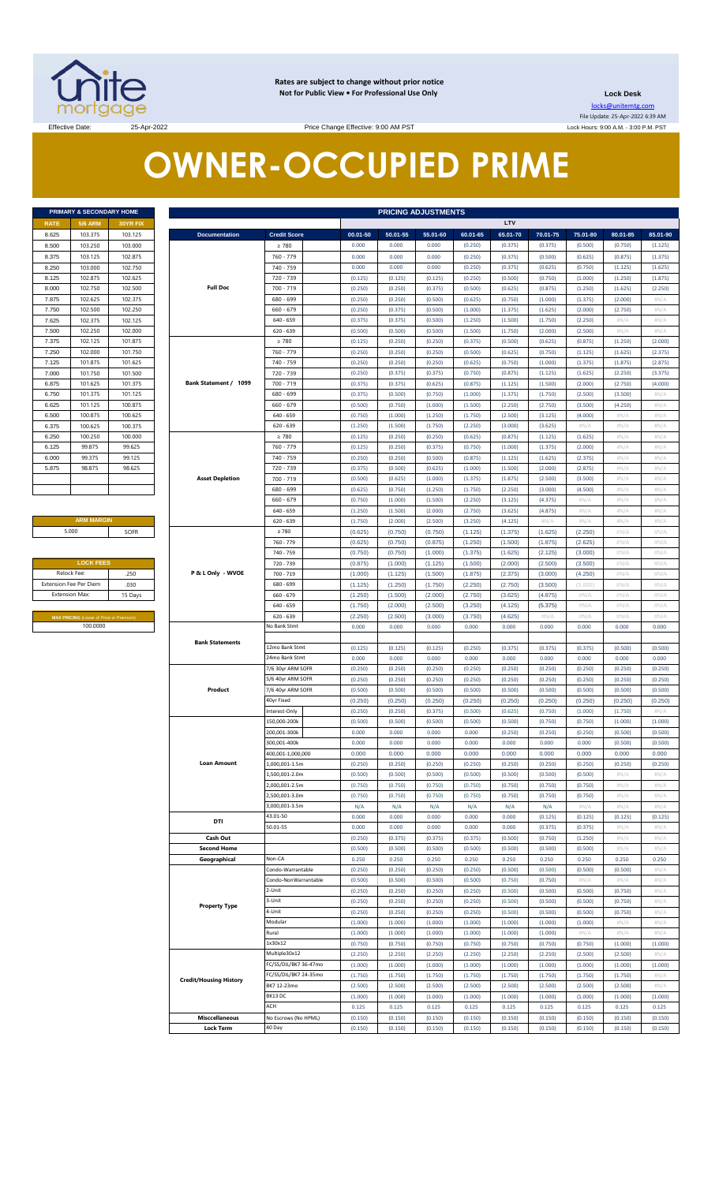

**Rates are subject to change without prior notice Not for Public View • For Professional Use Only** 

**Lock Desk** locks@unitemtg.com

File Update: 25-Apr-2022 6:39 AM Lock Hours: 9:00 A.M. - 3:00 P.M. PST

Effective Date: 25-Apr-2022 25-Apr-2022 Price Change Effective: 9:00 AM PST

# **OWNER-OCCUPIED PRIME**

| <b>5/6 ARM</b><br><b>RATE</b><br>103.375<br>8.625<br>8,500<br>103.250<br>8.375<br>103.125<br>8.250<br>103,000<br>102.875<br>8.125<br>102.750<br>8.000<br>102.625<br>7.875<br>102.500<br>7.750<br>102.375<br>7.625<br>102.250<br>7.500<br>102.125<br>7.375<br>102.000<br>7.250<br>101.875<br>7.125<br>7.000<br>101.750<br>101.625<br>6.875<br>6.750<br>101.375<br>101.125<br>6.625<br>6.500<br>100.875<br>6.375<br>100.625<br>100.250<br>6.250<br>6.125<br>99.875 | PRIMARY & SECONDARY HOME |
|------------------------------------------------------------------------------------------------------------------------------------------------------------------------------------------------------------------------------------------------------------------------------------------------------------------------------------------------------------------------------------------------------------------------------------------------------------------|--------------------------|
|                                                                                                                                                                                                                                                                                                                                                                                                                                                                  | <b>30YR FIX</b>          |
|                                                                                                                                                                                                                                                                                                                                                                                                                                                                  | 103.125                  |
|                                                                                                                                                                                                                                                                                                                                                                                                                                                                  | 103,000                  |
|                                                                                                                                                                                                                                                                                                                                                                                                                                                                  | 102.875                  |
|                                                                                                                                                                                                                                                                                                                                                                                                                                                                  | 102.750                  |
|                                                                                                                                                                                                                                                                                                                                                                                                                                                                  | 102.625                  |
|                                                                                                                                                                                                                                                                                                                                                                                                                                                                  | 102.500                  |
|                                                                                                                                                                                                                                                                                                                                                                                                                                                                  | 102.375                  |
|                                                                                                                                                                                                                                                                                                                                                                                                                                                                  | 102.250                  |
|                                                                                                                                                                                                                                                                                                                                                                                                                                                                  | 102.125                  |
|                                                                                                                                                                                                                                                                                                                                                                                                                                                                  | 102,000                  |
|                                                                                                                                                                                                                                                                                                                                                                                                                                                                  | 101.875                  |
|                                                                                                                                                                                                                                                                                                                                                                                                                                                                  | 101.750                  |
|                                                                                                                                                                                                                                                                                                                                                                                                                                                                  | 101.625                  |
|                                                                                                                                                                                                                                                                                                                                                                                                                                                                  | 101.500                  |
|                                                                                                                                                                                                                                                                                                                                                                                                                                                                  | 101.375                  |
|                                                                                                                                                                                                                                                                                                                                                                                                                                                                  | 101.125                  |
|                                                                                                                                                                                                                                                                                                                                                                                                                                                                  | 100.875                  |
|                                                                                                                                                                                                                                                                                                                                                                                                                                                                  | 100.625                  |
|                                                                                                                                                                                                                                                                                                                                                                                                                                                                  | 100 375                  |
|                                                                                                                                                                                                                                                                                                                                                                                                                                                                  | 100.000                  |
|                                                                                                                                                                                                                                                                                                                                                                                                                                                                  | 99.625                   |
| 99.375<br>6.000                                                                                                                                                                                                                                                                                                                                                                                                                                                  | 99.125                   |
| 5.875<br>98.875                                                                                                                                                                                                                                                                                                                                                                                                                                                  | 98.625                   |
|                                                                                                                                                                                                                                                                                                                                                                                                                                                                  |                          |
|                                                                                                                                                                                                                                                                                                                                                                                                                                                                  |                          |

#### **ARM MARGIN** 5.000

| <b>LOCK FEES</b>              |         |  |  |  |  |
|-------------------------------|---------|--|--|--|--|
| Relock Fee:                   | .250    |  |  |  |  |
| <b>Extension Fee Per Diem</b> | .030    |  |  |  |  |
| <b>Extension Max:</b>         | 15 Days |  |  |  |  |

|                       | PRIMARY & SECONDARY HOME                            |          |                               |                       |          | <b>PRICING ADJUSTMENTS</b> |          |          |          |          |          |            |            |
|-----------------------|-----------------------------------------------------|----------|-------------------------------|-----------------------|----------|----------------------------|----------|----------|----------|----------|----------|------------|------------|
| RATE                  | <b>5/6 ARM</b>                                      | 30YR FIX |                               |                       |          |                            |          |          | LTV      |          |          |            |            |
| 8.625                 | 103.375                                             | 103.125  | <b>Documentation</b>          | <b>Credit Score</b>   | 00.01-50 | 50.01-55                   | 55.01-60 | 60.01-65 | 65.01-70 | 70.01-75 | 75.01-80 | 80.01-85   | 85.01-90   |
| 8.500                 | 103.250                                             | 103.000  |                               | $\geq 780$            | 0.000    | 0.000                      | 0.000    | (0.250)  | (0.375)  | (0.375)  | (0.500)  | (0.750)    | (1.125)    |
| 8.375                 | 103.125                                             | 102.875  |                               | 760 - 779             | 0.000    | 0.000                      | 0.000    | (0.250)  | (0.375)  | (0.500)  | (0.625)  | (0.875)    | (1.375)    |
| 8.250                 | 103.000                                             | 102.750  |                               | 740 - 759             | 0.000    | 0.000                      | 0.000    | (0.250)  | (0.375)  | (0.625)  | (0.750)  | (1.125)    | (1.625)    |
| 8.125                 | 102.875                                             | 102.625  |                               | 720 - 739             | (0.125)  | (0.125)                    | (0.125)  | (0.250)  | (0.500)  | (0.750)  | (1.000)  | (1.250)    | (1.875)    |
| 8.000                 | 102.750                                             | 102.500  | <b>Full Doc</b>               | $700 - 719$           | (0.250)  | (0.250)                    | (0.375)  | (0.500)  | (0.625)  | (0.875)  | (1.250)  | (1.625)    | (2.250)    |
| 7.875                 | 102.625                                             | 102.375  |                               | 680 - 699             | (0.250)  | (0.250)                    | (0.500)  | (0.625)  | (0.750)  | (1.000)  | (1.375)  | (2.000)    | #N/A       |
| 7.750                 | 102.500                                             | 102.250  |                               | $660 - 679$           | (0.250)  | (0.375)                    | (0.500)  | (1.000)  | (1.375)  | (1.625)  | (2.000)  | (2.750)    | #N/ $\rho$ |
| 7.625                 | 102.375                                             | 102.125  |                               | $640 - 659$           | (0.375)  | (0.375)                    | (0.500)  | (1.250)  | (1.500)  | (1.750)  | (2.250)  | $\#N/A$    | #N/ $\rho$ |
| 7.500                 | 102.250                                             | 102.000  |                               | $620 - 639$           | (0.500)  | (0.500)                    | (0.500)  | (1.500)  | (1.750)  | (2.000)  | (2.500)  | #N/A       | $\#N/A$    |
| 7.375                 | 102.125                                             | 101.875  |                               | $\geq 780$            | (0.125)  | (0.250)                    | (0.250)  | (0.375)  | (0.500)  | (0.625)  | (0.875)  | (1.250)    | (2.000)    |
| 7.250                 | 102.000                                             | 101.750  |                               | 760 - 779             | (0.250)  | (0.250)                    | (0.250)  | (0.500)  | (0.625)  | (0.750)  | (1.125)  | (1.625)    | (2.375)    |
| 7.125                 | 101.875                                             | 101.625  |                               | 740 - 759             | (0.250)  | (0.250)                    | (0.250)  | (0.625)  | (0.750)  | (1.000)  | (1.375)  | (1.875)    | (2.875)    |
| 7.000                 | 101.750                                             | 101.500  |                               | 720 - 739             | (0.250)  | (0.375)                    | (0.375)  | (0.750)  | (0.875)  | (1.125)  | (1.625)  | (2.250)    | (3.375)    |
| 6.875                 | 101.625                                             | 101.375  | Bank Statement / 1099         | 700 - 719             | (0.375)  | (0.375)                    | (0.625)  | (0.875)  | (1.125)  | (1.500)  | (2.000)  | (2.750)    | (4.000)    |
| 6.750                 | 101.375                                             | 101.125  |                               | 680 - 699             | (0.375)  | (0.500)                    | (0.750)  | (1.000)  | (1.375)  | (1.750)  | (2.500)  | (3.500)    | $\#N/A$    |
| 6.625                 | 101.125                                             | 100.875  |                               | $660 - 679$           | (0.500)  | (0.750)                    | (1.000)  | (1.500)  | (2.250)  | (2.750)  | (3.500)  | (4.250)    | $\#N/A$    |
| 6.500                 | 100.875                                             | 100.625  |                               | $640 - 659$           | (0.750)  | (1.000)                    | (1.250)  | (1.750)  | (2.500)  | (3.125)  | (4.000)  | $\#N/A$    | $\#N/A$    |
| 6.375                 | 100.625                                             | 100.375  |                               | $620 - 639$           | (1.250)  | (1.500)                    | (1.750)  | (2.250)  | (3.000)  | (3.625)  | #N/A     | $\#N/A$    | $\#N/A$    |
| 6.250                 | 100.250                                             | 100.000  |                               | $\geq 780$            | (0.125)  | (0.250)                    | (0.250)  | (0.625)  | (0.875)  | (1.125)  | (1.625)  | #N/A       | $\#N/A$    |
| 6.125                 | 99.875                                              | 99.625   |                               | 760 - 779             | (0.125)  | (0.250)                    | (0.375)  | (0.750)  | (1.000)  | (1.375)  | (2.000)  | #N/A       | $\#N/A$    |
| 6.000                 | 99.375                                              | 99.125   |                               | 740 - 759             | (0.250)  | (0.250)                    | (0.500)  | (0.875)  | (1.125)  | (1.625)  | (2.375)  | #N/A       | $\#N/A$    |
| 5.875                 | 98.875                                              | 98.625   |                               | 720 - 739             | (0.375)  | (0.500)                    | (0.625)  | (1.000)  | (1.500)  | (2.000)  | (2.875)  | #N/A       | $\#N/A$    |
|                       |                                                     |          | <b>Asset Depletion</b>        | 700 - 719             | (0.500)  | (0.625)                    | (1.000)  | (1.375)  | (1.875)  | (2.500)  | (3.500)  | #N/A       | $\#N/A$    |
|                       |                                                     |          |                               | 680 - 699             | (0.625)  | (0.750)                    | (1.250)  | (1.750)  | (2.250)  | (3.000)  | (4.500)  | #N/A       | $\#N/A$    |
|                       |                                                     |          |                               | $660 - 679$           | (0.750)  | (1.000)                    | (1.500)  | (2.250)  | (3.125)  | (4.375)  | #N/A     | #N/A       | $\#N/A$    |
|                       |                                                     |          |                               | $640 - 659$           | (1.250)  | (1.500)                    | (2.000)  | (2.750)  | (3.625)  | (4.875)  | #N/A     | #N/A       | $\#N/A$    |
|                       | <b>ARM MARGIN</b>                                   |          |                               | $620 - 639$           | (1.750)  | (2.000)                    | (2.500)  | (3.250)  | (4.125)  | $\#N/A$  | #N/A     | #N/A       | $\#N/A$    |
| 5.000                 |                                                     | SOFR     |                               | $\geq 780$            | (0.625)  | (0.750)                    | (0.750)  | (1.125)  | (1.375)  | (1.625)  | (2.250)  | #N/A       | #N/A       |
|                       |                                                     |          |                               | 760 - 779             | (0.625)  | (0.750)                    | (0.875)  | (1.250)  | (1.500)  | (1.875)  | (2.625)  | #N/A       | #N/A       |
|                       |                                                     |          |                               | 740 - 759             | (0.750)  | (0.750)                    | (1.000)  | (1.375)  | (1.625)  | (2.125)  | (3.000)  | #N/A       | #N/A       |
|                       | <b>LOCK FEES</b>                                    |          |                               | 720 - 739             | (0.875)  | (1.000)                    | (1.125)  | (1.500)  | (2.000)  | (2.500)  | (3.500)  | #N/A       | #N/A       |
| Relock Fee:           |                                                     | .250     | P & L Only - WVOE             | 700 - 719             | (1.000)  | (1.125)                    | (1.500)  | (1.875)  | (2.375)  | (3.000)  | (4.250)  | #N/A       | #N/A       |
|                       | xtension Fee Per Diem                               | .030     |                               | 680 - 699             | (1.125)  | (1.250)                    | (1.750)  | (2.250)  | (2.750)  | (3.500)  | (5.000)  | #N/A       | #N/A       |
| <b>Extension Max:</b> |                                                     | 15 Days  |                               | $660 - 679$           | (1.250)  | (1.500)                    | (2.000)  | (2.750)  | (3.625)  | (4.875)  | #N/A     | #N/A       | #N/A       |
|                       |                                                     |          |                               | $640 - 659$           | (1.750)  | (2.000)                    | (2.500)  | (3.250)  | (4.125)  | (5.375)  | #N/A     | #N/A       | #N/A       |
|                       |                                                     |          |                               | $620 - 639$           | (2.250)  | (2.500)                    | (3.000)  | (3.750)  | (4.625)  | $\#N/A$  | #N/A     | #N/A       | #N/A       |
|                       | MAX PRICING (Lower of Price or Premium)<br>100.0000 |          |                               | No Bank Stmt          | 0.000    | 0.000                      | 0.000    | 0.000    | 0.000    | 0.000    | 0.000    | 0.000      | 0.000      |
|                       |                                                     |          |                               |                       |          |                            |          |          |          |          |          |            |            |
|                       |                                                     |          | <b>Bank Statements</b>        | 12mo Bank Stmt        | (0.125)  | (0.125)                    | (0.125)  | (0.250)  | (0.375)  | (0.375)  | (0.375)  | (0.500)    | (0.500)    |
|                       |                                                     |          |                               | 24mo Bank Stmt        | 0.000    | 0.000                      | 0.000    | 0.000    | 0.000    | 0.000    | 0.000    | 0.000      | 0.000      |
|                       |                                                     |          |                               | 7/6 30yr ARM SOFR     | (0.250)  | (0.250)                    | (0.250)  | (0.250)  | (0.250)  | (0.250)  | (0.250)  | (0.250)    | (0.250)    |
|                       |                                                     |          |                               | 5/6 40yr ARM SOFR     | (0.250)  | (0.250)                    | (0.250)  | (0.250)  | (0.250)  | (0.250)  | (0.250)  | (0.250)    | (0.250)    |
|                       |                                                     |          | Product                       | 7/6 40yr ARM SOFR     | (0.500)  | (0.500)                    | (0.500)  | (0.500)  | (0.500)  | (0.500)  | (0.500)  | (0.500)    | (0.500)    |
|                       |                                                     |          |                               | 40yr Fixed            | (0.250)  | (0.250)                    | (0.250)  | (0.250)  | (0.250)  | (0.250)  | (0.250)  | (0.250)    | (0.250)    |
|                       |                                                     |          |                               | Interest-Only         | (0.250)  | (0.250)                    | (0.375)  | (0.500)  | (0.625)  | (0.750)  | (1.000)  | (1.750)    | #N/A       |
|                       |                                                     |          |                               | 150,000-200k          | (0.500)  | (0.500)                    | (0.500)  | (0.500)  | (0.500)  | (0.750)  | (0.750)  | (1.000)    | (1.000)    |
|                       |                                                     |          |                               | 200.001-300k          | 0.000    | 0.000                      | 0.000    | 0.000    | (0.250)  | (0.250)  | (0.250)  | (0.500)    | (0.500)    |
|                       |                                                     |          |                               | 300,001-400k          | 0.000    | 0.000                      | 0.000    | 0.000    | 0.000    | 0.000    | 0.000    | (0.500)    | (0.500)    |
|                       |                                                     |          |                               | 400,001-1,000,000     | 0.000    | 0.000                      | 0.000    | 0.000    | 0.000    | 0.000    | 0.000    | 0.000      | 0.000      |
|                       |                                                     |          | <b>Loan Amount</b>            | .000.001-1.5m         | (0.250)  | (0.250)                    | (0.250)  | (0.250)  | (0.250)  | (0.250)  | (0.250)  | (0.250)    | (0.250)    |
|                       |                                                     |          |                               | .,500,001-2.0m        | (0.500)  | (0.500)                    | (0.500)  | (0.500)  | (0.500)  | (0.500)  | (0.500)  | $\#N/A$    | #N/A       |
|                       |                                                     |          |                               | .000,001-2.5m         | (0.750)  | (0.750)                    | (0.750)  | (0.750)  | (0.750)  | (0.750)  | (0.750)  | $\#N/A$    | #N//       |
|                       |                                                     |          |                               | ,500,001-3.0m         | (0.750)  | (0.750)                    | (0.750)  | (0.750)  | (0.750)  | (0.750)  | (0.750)  | $\#N/A$    | #N/A       |
|                       |                                                     |          |                               | ,000,001-3.5m         | N/A      | N/A                        | N/A      | N/A      | N/A      | N/A      | #N/A     | $\#N/A$    | #N/A       |
|                       |                                                     |          |                               | 43.01-50              | 0.000    | 0.000                      | 0.000    | 0.000    | 0.000    | (0.125)  | (0.125)  | (0.125)    | (0.125)    |
|                       |                                                     |          | DTI                           | 50.01-55              | 0.000    | 0.000                      | 0.000    | 0.000    | 0.000    | (0.375)  | (0.375)  | $\#N/\ell$ | #N//       |
|                       |                                                     |          | Cash Out                      |                       | (0.250)  | (0.375)                    | (0.375)  | (0.375)  | (0.500)  | (0.750)  | (1.250)  | $\#N/A$    | #N/A       |
|                       |                                                     |          | <b>Second Home</b>            |                       | (0.500)  | (0.500)                    | (0.500)  | (0.500)  | (0.500)  | (0.500)  | (0.500)  | $\#N/A$    | #N/A       |
|                       |                                                     |          | Geographical                  | Non-CA                | 0.250    | 0.250                      | 0.250    | 0.250    | 0.250    | 0.250    | 0.250    | 0.250      | 0.250      |
|                       |                                                     |          |                               | Condo-Warrantable     | (0.250)  | (0.250)                    | (0.250)  | (0.250)  | (0.500)  | (0.500)  | (0.500)  | (0.500)    | #N/A       |
|                       |                                                     |          |                               | Condo-NonWarrantable  | (0.500)  | (0.500)                    | (0.500)  | (0.500)  | (0.750)  | (0.750)  | #N/A     | #N/A       | #N/A       |
|                       |                                                     |          |                               | -Unit                 | (0.250)  | (0.250)                    | (0.250)  | (0.250)  | (0.500)  | (0.500)  | (0.500)  | (0.750)    | #N/A       |
|                       |                                                     |          |                               | 3-Unit                | (0.250)  | (0.250)                    | (0.250)  | (0.250)  | (0.500)  | (0.500)  | (0.500)  | (0.750)    | #N/A       |
|                       |                                                     |          | <b>Property Type</b>          | 1-Unit                | (0.250)  | (0.250)                    | (0.250)  | (0.250)  | (0.500)  | (0.500)  | (0.500)  | (0.750)    | #N/A       |
|                       |                                                     |          |                               | Modular               | (1.000)  | (1.000)                    | (1.000)  | (1.000)  | (1.000)  | (1.000)  | (1.000)  | $\#N/A$    | #N/A       |
|                       |                                                     |          |                               | Rural                 | (1.000)  | (1.000)                    | (1.000)  | (1.000)  | (1.000)  | (1.000)  | #N/A     | #N/A       | #N/A       |
|                       |                                                     |          |                               | 1x30x12               | (0.750)  | (0.750)                    | (0.750)  | (0.750)  | (0.750)  | (0.750)  | (0.750)  | (1.000)    | (1.000)    |
|                       |                                                     |          |                               | Multiple30x12         | (2.250)  | (2.250)                    | (2.250)  | (2.250)  | (2.250)  | (2.250)  | (2.500)  | (2.500)    | #N/A       |
|                       |                                                     |          |                               | FC/SS/DIL/BK7 36-47mo | (1.000)  | (1.000)                    | (1.000)  | (1.000)  | (1.000)  | (1.000)  | (1.000)  | (1.000)    | (1.000)    |
|                       |                                                     |          |                               | FC/SS/DIL/BK7 24-35mo | (1.750)  | (1.750)                    | (1.750)  | (1.750)  | (1.750)  | (1.750)  | (1.750)  | (1.750)    | #N/A       |
|                       |                                                     |          | <b>Credit/Housing History</b> | BK7 12-23mo           | (2.500)  | (2.500)                    | (2.500)  | (2.500)  | (2.500)  | (2.500)  | (2.500)  | (2.500)    | #N/A       |
|                       |                                                     |          |                               | BK13DC                | (1.000)  | (1.000)                    | (1.000)  | (1.000)  | (1.000)  | (1.000)  | (1.000)  | (1.000)    | (1.000)    |
|                       |                                                     |          |                               | ACH                   | 0.125    | 0.125                      | 0.125    | 0.125    | 0.125    | 0.125    | 0.125    | 0.125      | 0.125      |
|                       |                                                     |          | <b>Misccellaneous</b>         | No Escrows (No HPML)  | (0.150)  | (0.150)                    | (0.150)  | (0.150)  | (0.150)  | (0.150)  | (0.150)  | (0.150)    | (0.150)    |
|                       |                                                     |          | <b>Lock Term</b>              | 40 Day                | (0.150)  | (0.150)                    | (0.150)  | (0.150)  | (0.150)  | (0.150)  | (0.150)  | (0.150)    | (0.150)    |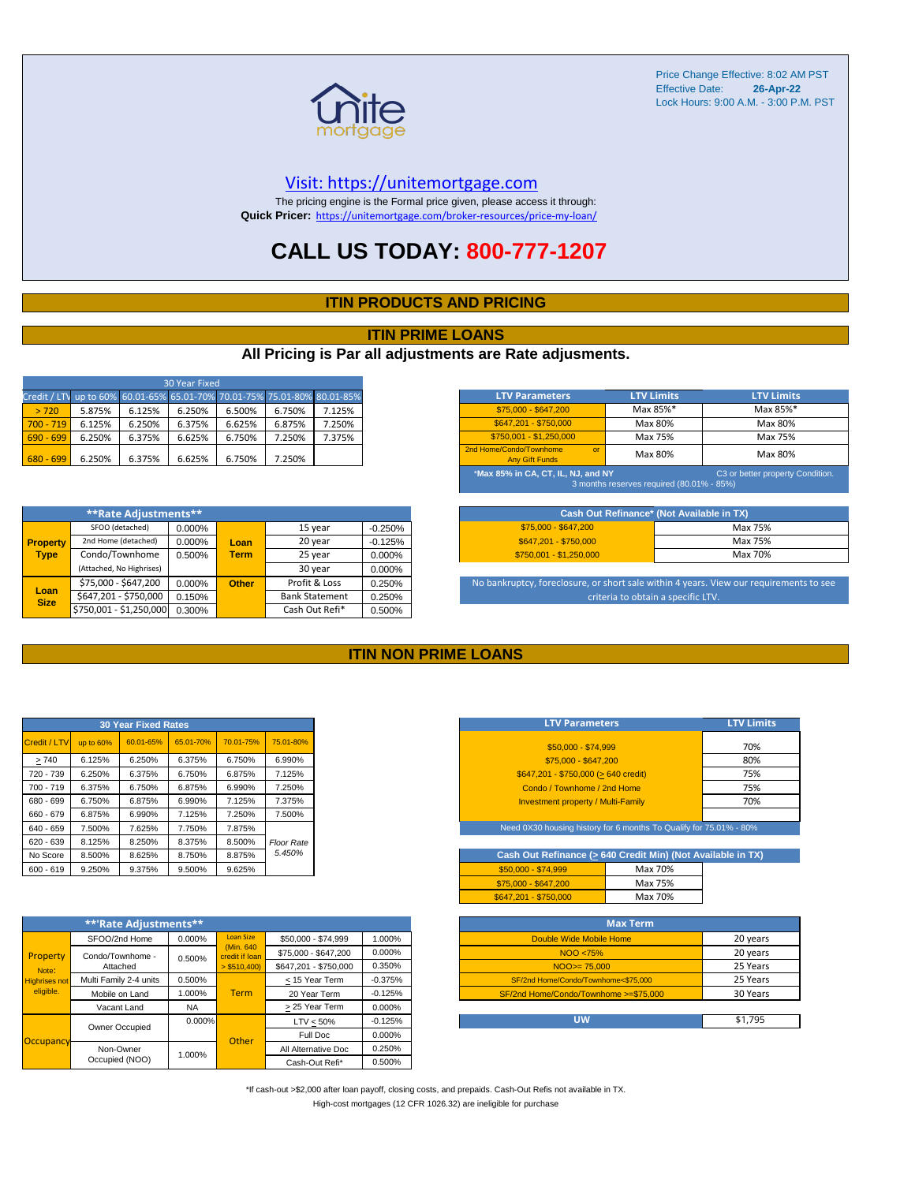

Price Change Effective: 8:02 AM PST Effective Date: **26-Apr-22** Lock Hours: 9:00 A.M. - 3:00 P.M. PST

#### [V](https://unitemortgage.com/)isit: https://unitemortgage.com

The pricing engine is the Formal price given, please access it through: **Quick Pricer:** [https://un](https://unitemortgage.com/broker-resources/price-my-loan/)itemortgage.com/broker-resources/price-my-loan/

## **CALL US TODAY: 800-777-1207**

#### **ITIN PRODUCTS AND PRICING**

#### **ITIN PRIME LOANS**

#### **All Pricing is Par all adjustments are Rate adjusments.**

| 30 Year Fixed                                                            |        |        |        |        |        |        |  |
|--------------------------------------------------------------------------|--------|--------|--------|--------|--------|--------|--|
| Credit / LTV up to 60% 60.01-65% 65.01-70% 70.01-75% 75.01-80% 80.01-85% |        |        |        |        |        |        |  |
| > 720                                                                    | 5.875% | 6.125% | 6.250% | 6.500% | 6.750% | 7.125% |  |
| $700 - 719$                                                              | 6.125% | 6.250% | 6.375% | 6.625% | 6.875% | 7.250% |  |
| $690 - 699$                                                              | 6.250% | 6.375% | 6.625% | 6.750% | 7.250% | 7.375% |  |
| $680 - 699$                                                              | 6.250% | 6.375% | 6.625% | 6.750% | 7.250% |        |  |

|                     | **Rate Adjustments**     |        |                       |                |           |
|---------------------|--------------------------|--------|-----------------------|----------------|-----------|
|                     | SFOO (detached)          | 0.000% |                       | 15 year        | $-0.250%$ |
| <b>Property</b>     | 2nd Home (detached)      | 0.000% | Loan                  | 20 year        | $-0.125%$ |
| <b>Type</b>         | Condo/Townhome           | 0.500% | <b>Term</b>           | 25 year        | 0.000%    |
|                     | (Attached, No Highrises) |        |                       | 30 year        | 0.000%    |
|                     | \$75,000 - \$647,200     | 0.000% | <b>Other</b>          | Profit & Loss  | 0.250%    |
| Loan<br><b>Size</b> | \$647,201 - \$750,000    | 0.150% | <b>Bank Statement</b> |                | 0.250%    |
|                     | \$750,001 - \$1,250,000  | 0.300% |                       | Cash Out Refi* | 0.500%    |

| <b>LTV Parameters</b>                                                                                               | <b>LTV Limits</b> | <b>LTV Limits</b> |  |  |  |  |
|---------------------------------------------------------------------------------------------------------------------|-------------------|-------------------|--|--|--|--|
| \$75,000 - \$647,200                                                                                                | Max 85%*          | Max 85%*          |  |  |  |  |
| \$647.201 - \$750.000                                                                                               | Max 80%           | Max 80%           |  |  |  |  |
| \$750.001 - \$1.250.000                                                                                             | Max 75%           | Max 75%           |  |  |  |  |
| 2nd Home/Condo/Townhome<br>$\alpha$<br><b>Any Gift Funds</b>                                                        | Max 80%           | Max 80%           |  |  |  |  |
| *Max 85% in CA, CT, IL, NJ, and NY<br>C3 or better property Condition.<br>3 months reserves required (80.01% - 85%) |                   |                   |  |  |  |  |

| Cash Out Refinance* (Not Available in TX) |         |  |  |  |  |  |
|-------------------------------------------|---------|--|--|--|--|--|
| \$75,000 - \$647,200                      | Max 75% |  |  |  |  |  |
| \$647.201 - \$750.000                     | Max 75% |  |  |  |  |  |
| $$750.001 - $1.250.000$                   | Max 70% |  |  |  |  |  |

No bankruptcy, foreclosure, or short sale within 4 years. View our requirements to see criteria to obtain a specific LTV.

#### **ITIN NON PRIME LOANS**

|              |           | <b>30 Year Fixed Rates</b> |           |           |                   |
|--------------|-----------|----------------------------|-----------|-----------|-------------------|
| Credit / LTV | up to 60% | 60.01-65%                  | 65.01-70% | 70.01-75% | 75.01-80%         |
| >740         | 6.125%    | 6.250%                     | 6.375%    | 6.750%    | 6.990%            |
| 720 - 739    | 6.250%    | 6.375%                     | 6.750%    | 6.875%    | 7.125%            |
| 700 - 719    | 6.375%    | 6.750%                     | 6.875%    | 6.990%    | 7.250%            |
| 680 - 699    | 6.750%    | 6.875%                     | 6.990%    | 7.125%    | 7.375%            |
| 660 - 679    | 6.875%    | 6.990%                     | 7.125%    | 7.250%    | 7.500%            |
| 640 - 659    | 7.500%    | 7.625%                     | 7.750%    | 7.875%    |                   |
| $620 - 639$  | 8.125%    | 8.250%                     | 8.375%    | 8.500%    | <b>Floor Rate</b> |
| No Score     | 8.500%    | 8.625%                     | 8.750%    | 8.875%    | 5.450%            |
| $600 - 619$  | 9.250%    | 9.375%                     | 9.500%    | 9.625%    |                   |

|                                                        | **'Rate Adjustments**  |           |                              |                       |           |
|--------------------------------------------------------|------------------------|-----------|------------------------------|-----------------------|-----------|
|                                                        | SFOO/2nd Home          | 0.000%    | <b>Loan Size</b>             | \$50,000 - \$74,999   | 1.000%    |
| Property<br>Note:<br><b>Highrises not</b><br>eligible. | Condo/Townhome -       | 0.500%    | (Min. 640)<br>credit if Ioan | \$75,000 - \$647,200  | 0.000%    |
|                                                        | Attached               |           | $>$ \$510,400)               | \$647.201 - \$750.000 | 0.350%    |
|                                                        | Multi Family 2-4 units | 0.500%    |                              | < 15 Year Term        | $-0.375%$ |
|                                                        | Mobile on Land         | 1.000%    | <b>Term</b>                  | 20 Year Term          | $-0.125%$ |
|                                                        | Vacant Land            | <b>NA</b> |                              | > 25 Year Term        | 0.000%    |
|                                                        | Owner Occupied         | $0.000\%$ |                              | $LTV < 50\%$          | $-0.125%$ |
| Occupancy                                              |                        |           | Other                        | Full Doc              | 0.000%    |
|                                                        | Non-Owner              | 1.000%    |                              | All Alternative Doc   | 0.250%    |
|                                                        | Occupied (NOO)         |           |                              | Cash-Out Refi*        | 0.500%    |

| <b>LTV Parameters</b>                        | <b>LTV Limits</b> |
|----------------------------------------------|-------------------|
| \$50,000 - \$74.999                          | 70%               |
| \$75,000 - \$647,200                         | 80%               |
| $$647,201 - $750,000 (> 640 \text{ credit})$ | 75%               |
| Condo / Townhome / 2nd Home                  | 75%               |
| <b>Investment property / Multi-Family</b>    | 70%               |
|                                              |                   |

Need 0X30 housing history for 6 months To Qualify for 75.01% - 80%

| Cash Out Refinance (> 640 Credit Min) (Not Available in TX) |         |  |  |  |  |  |  |  |  |  |  |
|-------------------------------------------------------------|---------|--|--|--|--|--|--|--|--|--|--|
| $$50.000 - $74.999$                                         | Max 70% |  |  |  |  |  |  |  |  |  |  |
| \$75,000 - \$647,200                                        | Max 75% |  |  |  |  |  |  |  |  |  |  |
| \$647.201 - \$750.000                                       | Max 70% |  |  |  |  |  |  |  |  |  |  |

| <b>Max Term</b>                       |          |
|---------------------------------------|----------|
| Double Wide Mobile Home               | 20 years |
| NOO <75%                              | 20 years |
| $NOO > = 75.000$                      | 25 Years |
| SF/2nd Home/Condo/Townhome<\$75.000   | 25 Years |
| SF/2nd Home/Condo/Townhome >=\$75.000 | 30 Years |
|                                       |          |
| UW                                    | \$1,795  |

\*If cash-out >\$2,000 after loan payoff, closing costs, and prepaids. Cash-Out Refis not available in TX. High-cost mortgages (12 CFR 1026.32) are ineligible for purchase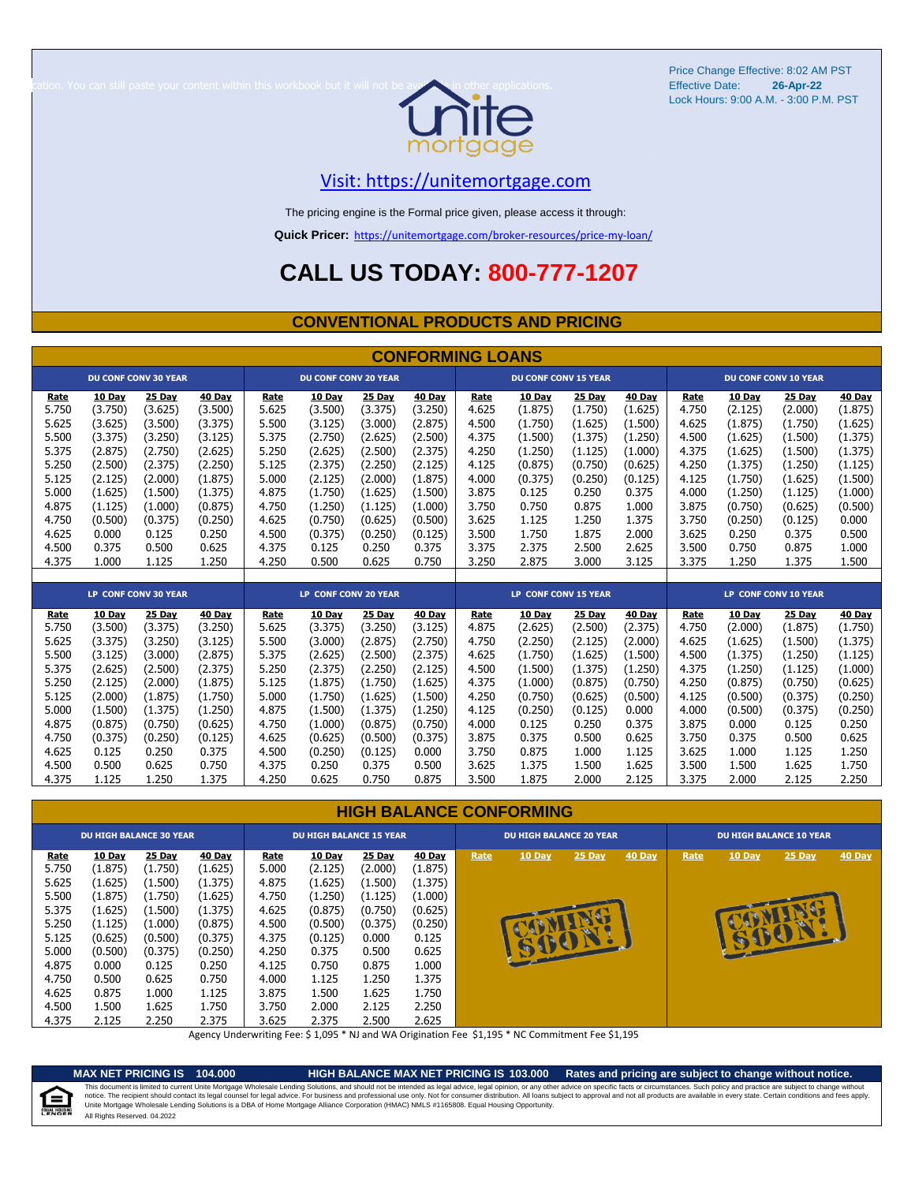

Price Change Effective: 8:02 AM PST Lock Hours: 9:00 A.M. - 3:00 P.M. PST **26-Apr-22**

#### [V](https://unitemortgage.com/)isit: https://unitemortgage.com

The pricing engine is the Formal price given, please access it through:

**Quick Pricer:** [https://un](https://unitemortgage.com/broker-resources/price-my-loan/)itemortgage.com/broker-resources/price-my-loan/

# **CALL US TODAY: 800-777-1207**

#### **CONVENTIONAL PRODUCTS AND PRICING**

|             | <b>CONFORMING LOANS</b> |                             |         |                      |                             |               |               |                             |                             |               |         |       |               |                             |               |
|-------------|-------------------------|-----------------------------|---------|----------------------|-----------------------------|---------------|---------------|-----------------------------|-----------------------------|---------------|---------|-------|---------------|-----------------------------|---------------|
|             |                         | <b>DU CONF CONV 30 YEAR</b> |         |                      | <b>DU CONF CONV 20 YEAR</b> |               |               | <b>DU CONF CONV 15 YEAR</b> |                             |               |         |       |               | <b>DU CONF CONV 10 YEAR</b> |               |
| Rate        | 10 Day                  | <b>25 Day</b>               | 40 Day  | Rate                 | 10 Day                      | <b>25 Day</b> | <b>40 Day</b> | Rate                        | <b>10 Day</b>               | <b>25 Day</b> | 40 Day  | Rate  | <b>10 Day</b> | 25 Day                      | <b>40 Day</b> |
| 5.750       | (3.750)                 | (3.625)                     | (3.500) | 5.625                | (3.500)                     | (3.375)       | (3.250)       | 4.625                       | (1.875)                     | (1.750)       | (1.625) | 4.750 | (2.125)       | (2.000)                     | (1.875)       |
| 5.625       | (3.625)                 | (3.500)                     | (3.375) | 5.500                | (3.125)                     | (3.000)       | (2.875)       | 4.500                       | (1.750)                     | (1.625)       | (1.500) | 4.625 | (1.875)       | (1.750)                     | (1.625)       |
| 5.500       | (3.375)                 | (3.250)                     | (3.125) | 5.375                | (2.750)                     | (2.625)       | (2.500)       | 4.375                       | (1.500)                     | (1.375)       | (1.250) | 4.500 | (1.625)       | (1.500)                     | (1.375)       |
| 5.375       | (2.875)                 | (2.750)                     | (2.625) | 5.250                | (2.625)                     | (2.500)       | (2.375)       | 4.250                       | (1.250)                     | (1.125)       | (1.000) | 4.375 | (1.625)       | (1.500)                     | (1.375)       |
| 5.250       | (2.500)                 | (2.375)                     | (2.250) | 5.125                | (2.375)                     | (2.250)       | (2.125)       | 4.125                       | (0.875)                     | (0.750)       | (0.625) | 4.250 | (1.375)       | (1.250)                     | (1.125)       |
| 5.125       | (2.125)                 | (2.000)                     | (1.875) | 5.000                | (2.125)                     | (2.000)       | (1.875)       | 4.000                       | (0.375)                     | (0.250)       | (0.125) | 4.125 | (1.750)       | (1.625)                     | (1.500)       |
| 5.000       | (1.625)                 | (1.500)                     | (1.375) | 4.875                | (1.750)                     | (1.625)       | (1.500)       | 3.875                       | 0.125                       | 0.250         | 0.375   | 4.000 | (1.250)       | (1.125)                     | (1.000)       |
| 4.875       | (1.125)                 | (1.000)                     | (0.875) | 4.750                | (1.250)                     | (1.125)       | (1.000)       | 3.750                       | 0.750                       | 0.875         | 1.000   | 3.875 | (0.750)       | (0.625)                     | (0.500)       |
| 4.750       | (0.500)                 | (0.375)                     | (0.250) | 4.625                | (0.750)                     | (0.625)       | (0.500)       | 3.625                       | 1.125                       | 1.250         | 1.375   | 3.750 | (0.250)       | (0.125)                     | 0.000         |
| 4.625       | 0.000                   | 0.125                       | 0.250   | 4.500                | (0.375)                     | (0.250)       | (0.125)       | 3.500                       | 1.750                       | 1.875         | 2.000   | 3.625 | 0.250         | 0.375                       | 0.500         |
| 4.500       | 0.375                   | 0.500                       | 0.625   | 4.375                | 0.125                       | 0.250         | 0.375         | 3.375                       | 2.375                       | 2.500         | 2.625   | 3.500 | 0.750         | 0.875                       | 1.000         |
| 4.375       | 1.000                   | 1.125                       | 1.250   | 4.250                | 0.500                       | 0.625         | 0.750         | 3.250                       | 2.875                       | 3.000         | 3.125   | 3.375 | 1.250         | 1.375                       | 1.500         |
|             |                         |                             |         |                      |                             |               |               |                             |                             |               |         |       |               |                             |               |
|             |                         | <b>LP CONF CONV 30 YEAR</b> |         | LP CONF CONV 20 YEAR |                             |               |               |                             | <b>LP CONF CONV 15 YEAR</b> |               |         |       |               | <b>LP CONF CONV 10 YEAR</b> |               |
| <b>Rate</b> | 10 Day                  | 25 Day                      | 40 Day  | Rate                 | 10 Day                      | 25 Day        | 40 Day        | Rate                        | <b>10 Day</b>               | <b>25 Day</b> | 40 Day  | Rate  | <b>10 Day</b> | 25 Day                      | <b>40 Day</b> |
| 5.750       | (3.500)                 | (3.375)                     | (3.250) | 5.625                | (3.375)                     | (3.250)       | (3.125)       | 4.875                       | (2.625)                     | (2.500)       | (2.375) | 4.750 | (2.000)       | (1.875)                     | (1.750)       |
| 5.625       | (3.375)                 | (3.250)                     | (3.125) | 5.500                | (3.000)                     | (2.875)       | (2.750)       | 4.750                       | (2.250)                     | (2.125)       | (2.000) | 4.625 | (1.625)       | (1.500)                     | (1.375)       |
| 5.500       | (3.125)                 | (3.000)                     | (2.875) | 5.375                | (2.625)                     | (2.500)       | (2.375)       | 4.625                       | (1.750)                     | (1.625)       | (1.500) | 4.500 | (1.375)       | (1.250)                     | (1.125)       |
| 5.375       | (2.625)                 | (2.500)                     | (2.375) | 5.250                | (2.375)                     | (2.250)       | (2.125)       | 4.500                       | (1.500)                     | (1.375)       | (1.250) | 4.375 | (1.250)       | (1.125)                     | (1.000)       |
| 5.250       | (2.125)                 | (2.000)                     | (1.875) | 5.125                | (1.875)                     | (1.750)       | (1.625)       | 4.375                       | (1.000)                     | (0.875)       | (0.750) | 4.250 | (0.875)       | (0.750)                     | (0.625)       |
| 5.125       | (2.000)                 | (1.875)                     | (1.750) | 5.000                | (1.750)                     | (1.625)       | (1.500)       | 4.250                       | (0.750)                     | (0.625)       | (0.500) | 4.125 | (0.500)       | (0.375)                     | (0.250)       |
| 5.000       | (1.500)                 | (1.375)                     | (1.250) | 4.875                | (1.500)                     | (1.375)       | (1.250)       | 4.125                       | (0.250)                     | (0.125)       | 0.000   | 4.000 | (0.500)       | (0.375)                     | (0.250)       |
| 4.875       | (0.875)                 | (0.750)                     | (0.625) | 4.750                | (1.000)                     | (0.875)       | (0.750)       | 4.000                       | 0.125                       | 0.250         | 0.375   | 3.875 | 0.000         | 0.125                       | 0.250         |
| 4.750       | (0.375)                 | (0.250)                     | (0.125) | 4.625                | (0.625)                     | (0.500)       | (0.375)       | 3.875                       | 0.375                       | 0.500         | 0.625   | 3.750 | 0.375         | 0.500                       | 0.625         |
| 4.625       | 0.125                   | 0.250                       | 0.375   | 4.500                | (0.250)                     | (0.125)       | 0.000         | 3.750                       | 0.875                       | 1.000         | 1.125   | 3.625 | 1.000         | 1.125                       | 1.250         |
| 4.500       | 0.500                   | 0.625                       | 0.750   | 4.375                | 0.250                       | 0.375         | 0.500         | 3.625                       | 1.375                       | 1.500         | 1.625   | 3.500 | 1.500         | 1.625                       | 1.750         |
| 4.375       | 1.125                   | 1.250                       | 1.375   | 4.250                | 0.625                       | 0.750         | 0.875         | 3.500                       | 1.875                       | 2.000         | 2.125   | 3.375 | 2.000         | 2.125                       | 2.250         |

#### **HIGH BALANCE CONFORMING**

| 25 Day<br>10 Day<br>40 Day<br>Rate<br>25 Day<br>40 Day<br><b>10 Day</b><br>$25$ Day<br><b>40 Day</b><br>Rate<br><b>10 Day</b><br>Rate<br>Rate                                                                                                                                                                                                                                                                                                                                                                                                                                                                                                                                                                                                                                                                                                                                                                                                                               | 10 Day<br><b>40 Day</b><br>$25$ Day |  |
|-----------------------------------------------------------------------------------------------------------------------------------------------------------------------------------------------------------------------------------------------------------------------------------------------------------------------------------------------------------------------------------------------------------------------------------------------------------------------------------------------------------------------------------------------------------------------------------------------------------------------------------------------------------------------------------------------------------------------------------------------------------------------------------------------------------------------------------------------------------------------------------------------------------------------------------------------------------------------------|-------------------------------------|--|
| 5.750<br>(1.625)<br>5.000<br>(1.875)<br>(1.875)<br>(1.750)<br>(2.125)<br>(2.000)<br>5.625<br>(1.625)<br>(1.375)<br>4.875<br>(1.625)<br>(1.500)<br>(1.375)<br>(1.500)<br>5.500<br>4.750<br>(1.875)<br>(1.625)<br>(1.250)<br>(1.125)<br>(1.000)<br>(1.750)<br>5.375<br>4.625<br>(1.625)<br>(0.875)<br>(0.625)<br>(1.500)<br>(1.375)<br>(0.750)<br>5.250<br>4.500<br>(1.125)<br>(1.000)<br>(0.875)<br>(0.500)<br>(0.375)<br>(0.250)<br>5.125<br>4.375<br>(0.625)<br>(0.375)<br>(0.125)<br>0.000<br>0.125<br>(0.500)<br>大<br>5.000<br>4.250<br>0.500<br>(0.500)<br>(0.375)<br>(0.250)<br>0.375<br>0.625<br>4.875<br>4.125<br>0.875<br>1.000<br>0.000<br>0.125<br>0.250<br>0.750<br>4.750<br>0.500<br>0.625<br>4.000<br>1.125<br>1.250<br>1.375<br>0.750<br>4.625<br>1.625<br>0.875<br>1.125<br>3.875<br>1.500<br>1.000<br>1.750<br>1.500<br>1.625<br>3.750<br>2.125<br>4.500<br>1.750<br>2.000<br>2.250<br>4.375<br>2.125<br>2.250<br>2.375<br>3.625<br>2.375<br>2.500<br>2.625 |                                     |  |

Agency Underwriting Fee: \$ 1,095 \* NJ and WA Origination Fee \$1,195 \* NC Commitment Fee \$1,195

e

**MAX NET PRICING IS 104.000 HIGH BALANCE MAX NET PRICING IS 103.000 Rates and pricing are subject to change without notice.** All Rights Reserved. 04.2022 This document is limited to current Unite Mortgage Wholesale Lending Solutions, and should not be intended as legal advice, legal opinion, or any other advice on specific facts or circumstances. Such policy and practice ar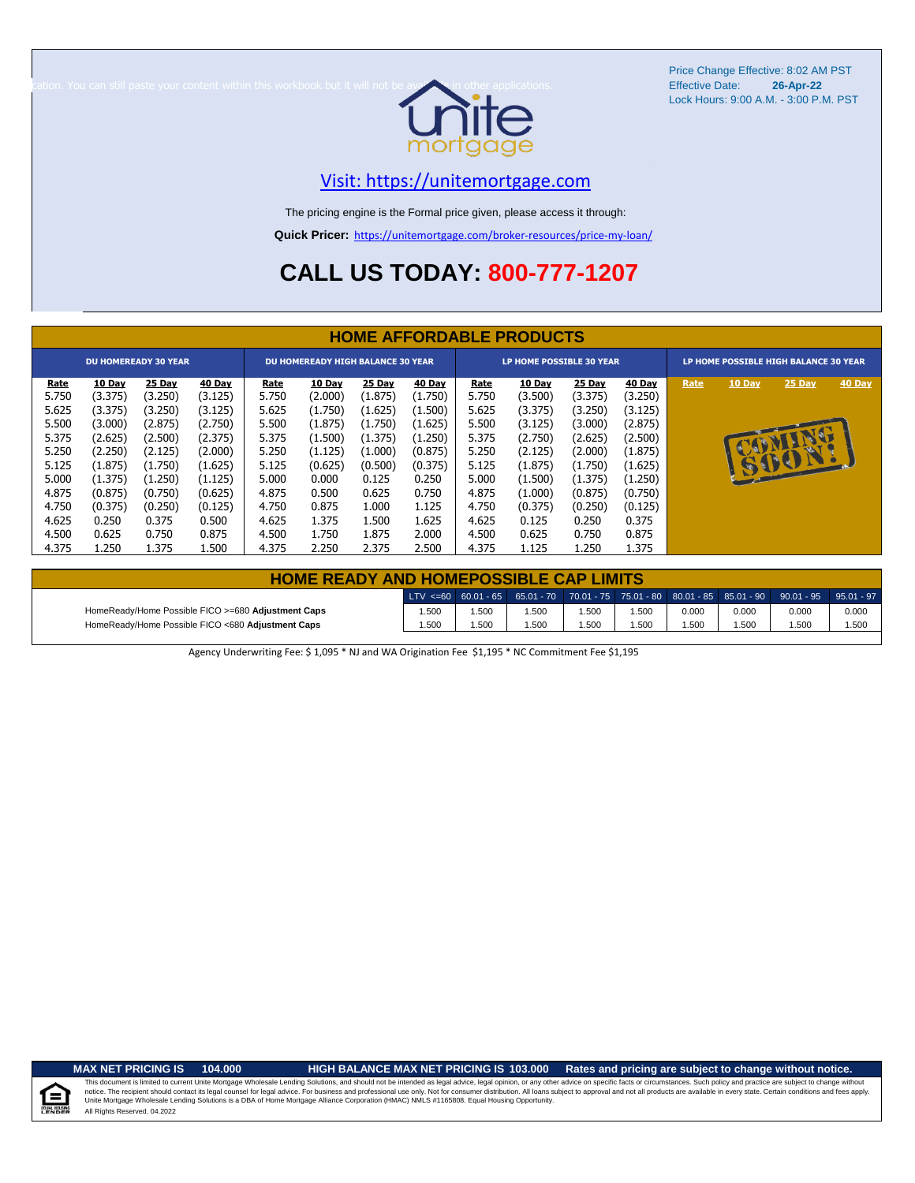

Price Change Effective: 8:02 AM PST Lock Hours: 9:00 A.M. - 3:00 P.M. PST **26-Apr-22**

### [V](https://unitemortgage.com/)isit: https://unitemortgage.com

The pricing engine is the Formal price given, please access it through:

**Quick Pricer:** [https://un](https://unitemortgage.com/broker-resources/price-my-loan/)itemortgage.com/broker-resources/price-my-loan/

# **CALL US TODAY: 800-777-1207**

|                                                                     | <b>HOME AFFORDABLE PRODUCTS</b>                                                     |                                                                                     |                                                                                     |                                                                     |                                                                                   |                                                                                   |                                                                                   |                                                                     |                                                                                     |                                                                                     |                                                                                     |                                       |        |                |        |
|---------------------------------------------------------------------|-------------------------------------------------------------------------------------|-------------------------------------------------------------------------------------|-------------------------------------------------------------------------------------|---------------------------------------------------------------------|-----------------------------------------------------------------------------------|-----------------------------------------------------------------------------------|-----------------------------------------------------------------------------------|---------------------------------------------------------------------|-------------------------------------------------------------------------------------|-------------------------------------------------------------------------------------|-------------------------------------------------------------------------------------|---------------------------------------|--------|----------------|--------|
| <b>DU HOMEREADY 30 YEAR</b>                                         |                                                                                     |                                                                                     |                                                                                     |                                                                     | <b>DU HOMEREADY HIGH BALANCE 30 YEAR</b>                                          |                                                                                   |                                                                                   | LP HOME POSSIBLE 30 YEAR                                            |                                                                                     |                                                                                     |                                                                                     | LP HOME POSSIBLE HIGH BALANCE 30 YEAR |        |                |        |
| Rate<br>5.750<br>5.625<br>5.500<br>5.375<br>5.250<br>5.125<br>5.000 | 10 Day<br>(3.375)<br>(3.375)<br>(3.000)<br>(2.625)<br>(2.250)<br>(1.875)<br>(1.375) | 25 Day<br>(3.250)<br>(3.250)<br>(2.875)<br>(2.500)<br>(2.125)<br>(1.750)<br>(1.250) | 40 Day<br>(3.125)<br>(3.125)<br>(2.750)<br>(2.375)<br>(2.000)<br>(1.625)<br>(1.125) | Rate<br>5.750<br>5.625<br>5.500<br>5.375<br>5.250<br>5.125<br>5.000 | 10 Day<br>(2.000)<br>(1.750)<br>(1.875)<br>(1.500)<br>(1.125)<br>(0.625)<br>0.000 | 25 Day<br>(1.875)<br>(1.625)<br>(1.750)<br>(1.375)<br>(1.000)<br>(0.500)<br>0.125 | 40 Day<br>(1.750)<br>(1.500)<br>(1.625)<br>(1.250)<br>(0.875)<br>(0.375)<br>0.250 | Rate<br>5.750<br>5.625<br>5.500<br>5.375<br>5.250<br>5.125<br>5.000 | 10 Day<br>(3.500)<br>(3.375)<br>(3.125)<br>(2.750)<br>(2.125)<br>(1.875)<br>(1.500) | 25 Day<br>(3.375)<br>(3.250)<br>(3.000)<br>(2.625)<br>(2.000)<br>(1.750)<br>(1.375) | 40 Day<br>(3.250)<br>(3.125)<br>(2.875)<br>(2.500)<br>(1.875)<br>(1.625)<br>(1.250) | Rate                                  | 10 Day | 25 Day<br>SUON | 40 Day |
| 4.875<br>4.750<br>4.625<br>4.500<br>4.375                           | (0.875)<br>(0.375)<br>0.250<br>0.625<br>1.250                                       | (0.750)<br>(0.250)<br>0.375<br>0.750<br>1.375                                       | (0.625)<br>(0.125)<br>0.500<br>0.875<br>1.500                                       | 4.875<br>4.750<br>4.625<br>4.500<br>4.375                           | 0.500<br>0.875<br>1.375<br>1.750<br>2.250                                         | 0.625<br>1.000<br>1.500<br>1.875<br>2.375                                         | 0.750<br>1.125<br>1.625<br>2.000<br>2.500                                         | 4.875<br>4.750<br>4.625<br>4.500<br>4.375                           | (1.000)<br>(0.375)<br>0.125<br>0.625<br>1.125                                       | (0.875)<br>(0.250)<br>0.250<br>0.750<br>1.250                                       | (0.750)<br>(0.125)<br>0.375<br>0.875<br>1.375                                       |                                       |        |                |        |

| <b>HOME READY AND HOMEPOSSIBLE CAP LIMITS</b>      |       |      |       |       |       |       |       |                                                                                                      |       |  |  |  |  |
|----------------------------------------------------|-------|------|-------|-------|-------|-------|-------|------------------------------------------------------------------------------------------------------|-------|--|--|--|--|
|                                                    |       |      |       |       |       |       |       | $LTV \le 60$ 60.01 - 65 65.01 - 70 70.01 - 75 75.01 - 80 80.01 - 85 85.01 - 90 90.01 - 95 95.01 - 97 |       |  |  |  |  |
| HomeReady/Home Possible FICO >=680 Adjustment Caps | 1.500 | .500 | 1.500 | 1.500 | 500،، | 0.000 | 0.000 | 0.000                                                                                                | 0.000 |  |  |  |  |
| HomeReady/Home Possible FICO <680 Adjustment Caps  | 1.500 | .500 | 1.500 | 1.500 | .500  | 1.500 | 1.500 | 1.500                                                                                                | 1.500 |  |  |  |  |

Agency Underwriting Fee: \$ 1,095 \* NJ and WA Origination Fee \$1,195 \* NC Commitment Fee \$1,195

 $\equiv$ 

**MAX NET PRICING IS 104.000 HIGH BALANCE MAX NET PRICING IS 103.000 Rates and pricing are subject to change without notice.**

All Rights Reserved. 04.2022 This document is limited to current Unite Mortgage Wholesale Lending Solutions, and should not be intended as legal advice, legal opinion, or any other advice on specific facts or circumstances. Such policy and practice ar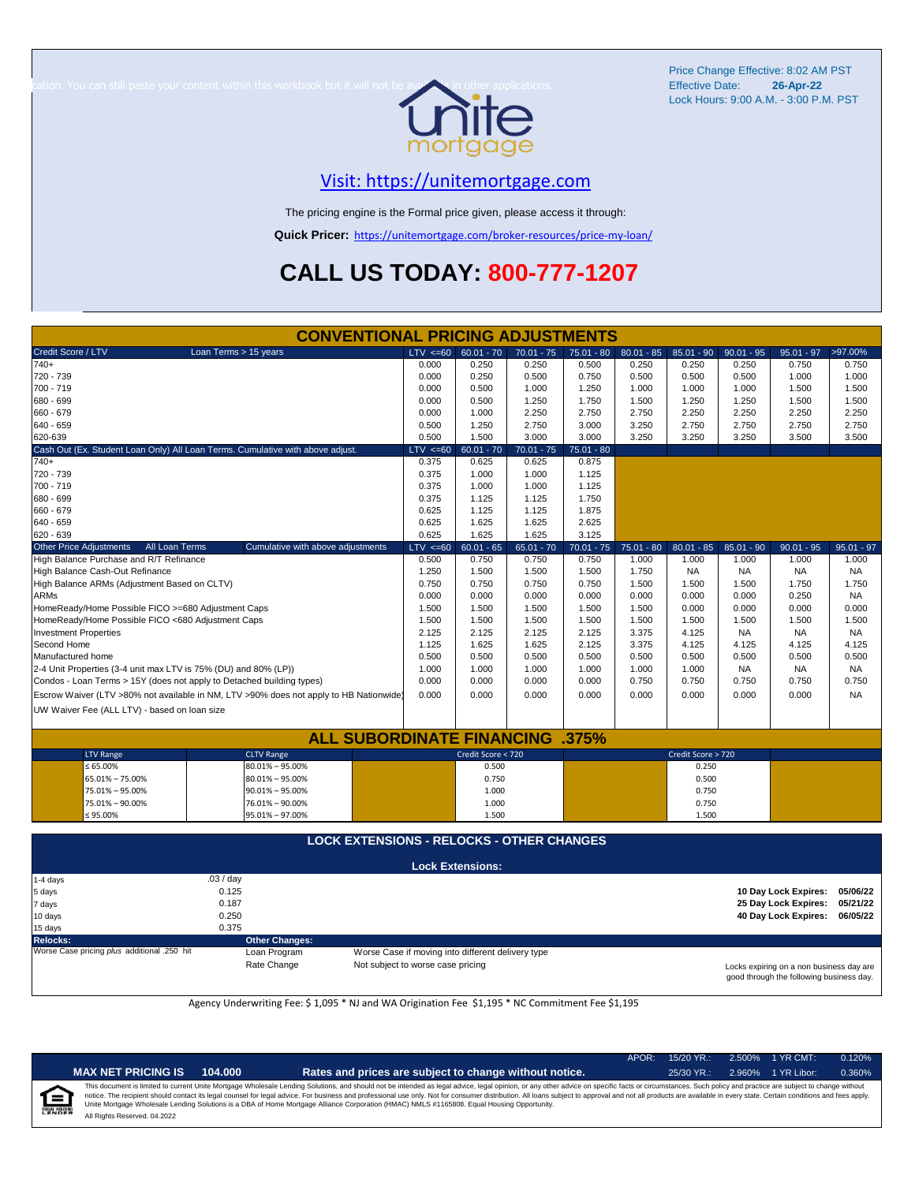

Price Change Effective: 8:02 AM PST Lock Hours: 9:00 A.M. - 3:00 P.M. PST **26-Apr-22**

#### [V](https://unitemortgage.com/)isit: https://unitemortgage.com

The pricing engine is the Formal price given, please access it through:

**Quick Pricer:** [https://un](https://unitemortgage.com/broker-resources/price-my-loan/)itemortgage.com/broker-resources/price-my-loan/

# **CALL US TODAY: 800-777-1207**

|                              |                                                    | <b>CONVENTIONAL PRICING ADJUSTMENTS</b>                                                |              |                         |              |              |              |                    |              |                      |              |
|------------------------------|----------------------------------------------------|----------------------------------------------------------------------------------------|--------------|-------------------------|--------------|--------------|--------------|--------------------|--------------|----------------------|--------------|
| Credit Score / LTV           |                                                    | Loan Terms > 15 years                                                                  | $LTV \le 60$ | $60.01 - 70$            | $70.01 - 75$ | $75.01 - 80$ | $80.01 - 85$ | $85.01 - 90$       | $90.01 - 95$ | $95.01 - 97$         | >97.00%      |
| $740+$                       |                                                    |                                                                                        | 0.000        | 0.250                   | 0.250        | 0.500        | 0.250        | 0.250              | 0.250        | 0.750                | 0.750        |
| 720 - 739                    |                                                    |                                                                                        | 0.000        | 0.250                   | 0.500        | 0.750        | 0.500        | 0.500              | 0.500        | 1.000                | 1.000        |
| 700 - 719                    |                                                    |                                                                                        | 0.000        | 0.500                   | 1.000        | 1.250        | 1.000        | 1.000              | 1.000        | 1.500                | 1.500        |
| 680 - 699                    |                                                    |                                                                                        | 0.000        | 0.500                   | 1.250        | 1.750        | 1.500        | 1.250              | 1.250        | 1.500                | 1.500        |
| 660 - 679                    |                                                    |                                                                                        | 0.000        | 1.000                   | 2.250        | 2.750        | 2.750        | 2.250              | 2.250        | 2.250                | 2.250        |
| 640 - 659                    |                                                    |                                                                                        | 0.500        | 1.250                   | 2.750        | 3.000        | 3.250        | 2.750              | 2.750        | 2.750                | 2.750        |
| 620-639                      |                                                    |                                                                                        | 0.500        | 1.500                   | 3.000        | 3.000        | 3.250        | 3.250              | 3.250        | 3.500                | 3.500        |
|                              |                                                    | Cash Out (Ex. Student Loan Only) All Loan Terms. Cumulative with above adjust.         | LTV < 60     | $60.01 - 70$            | $70.01 - 75$ | $75.01 - 80$ |              |                    |              |                      |              |
| $740+$                       |                                                    |                                                                                        | 0.375        | 0.625                   | 0.625        | 0.875        |              |                    |              |                      |              |
| 720 - 739                    |                                                    |                                                                                        | 0.375        | 1.000                   | 1.000        | 1.125        |              |                    |              |                      |              |
| 700 - 719                    |                                                    |                                                                                        | 0.375        | 1.000                   | 1.000        | 1.125        |              |                    |              |                      |              |
| 680 - 699                    |                                                    |                                                                                        | 0.375        | 1.125                   | 1.125        | 1.750        |              |                    |              |                      |              |
| 660 - 679                    |                                                    |                                                                                        | 0.625        | 1.125                   | 1.125        | 1.875        |              |                    |              |                      |              |
| 640 - 659                    |                                                    |                                                                                        | 0.625        | 1.625                   | 1.625        | 2.625        |              |                    |              |                      |              |
| 620 - 639                    |                                                    |                                                                                        | 0.625        | 1.625                   | 1.625        | 3.125        |              |                    |              |                      |              |
| Other Price Adjustments      | All Loan Terms                                     | Cumulative with above adjustments                                                      | $LTV < =60$  | $60.01 - 65$            | $65.01 - 70$ | $70.01 - 75$ | $75.01 - 80$ | $80.01 - 85$       | $85.01 - 90$ | $90.01 - 95$         | $95.01 - 97$ |
|                              | High Balance Purchase and R/T Refinance            |                                                                                        | 0.500        | 0.750                   | 0.750        | 0.750        | 1.000        | 1.000              | 1.000        | 1.000                | 1.000        |
|                              | High Balance Cash-Out Refinance                    |                                                                                        | 1.250        | 1.500                   | 1.500        | 1.500        | 1.750        | NA                 | NA.          | <b>NA</b>            | NA           |
|                              | High Balance ARMs (Adjustment Based on CLTV)       |                                                                                        | 0.750        | 0.750                   | 0.750        | 0.750        | 1.500        | 1.500              | 1.500        | 1.750                | 1.750        |
| <b>ARMs</b>                  |                                                    |                                                                                        | 0.000        | 0.000                   | 0.000        | 0.000        | 0.000        | 0.000              | 0.000        | 0.250                | <b>NA</b>    |
|                              | HomeReady/Home Possible FICO >=680 Adjustment Caps |                                                                                        | 1.500        | 1.500                   | 1.500        | 1.500        | 1.500        | 0.000              | 0.000        | 0.000                | 0.000        |
|                              | HomeReady/Home Possible FICO <680 Adjustment Caps  |                                                                                        | 1.500        | 1.500                   | 1.500        | 1.500        | 1.500        | 1.500              | 1.500        | 1.500                | 1.500        |
| <b>Investment Properties</b> |                                                    |                                                                                        | 2.125        | 2.125                   | 2.125        | 2.125        | 3.375        | 4.125              | <b>NA</b>    | <b>NA</b>            | <b>NA</b>    |
| Second Home                  |                                                    |                                                                                        | 1.125        | 1.625                   | 1.625        | 2.125        | 3.375        | 4.125              | 4.125        | 4.125                | 4.125        |
| Manufactured home            |                                                    |                                                                                        | 0.500        | 0.500                   | 0.500        | 0.500        | 0.500        | 0.500              | 0.500        | 0.500                | 0.500        |
|                              |                                                    | 2-4 Unit Properties (3-4 unit max LTV is 75% (DU) and 80% (LP))                        | 1.000        | 1.000                   | 1.000        | 1.000        | 1.000        | 1.000              | <b>NA</b>    | NA                   | <b>NA</b>    |
|                              |                                                    | Condos - Loan Terms > 15Y (does not apply to Detached building types)                  | 0.000        | 0.000                   | 0.000        | 0.000        | 0.750        | 0.750              | 0.750        | 0.750                | 0.750        |
|                              |                                                    | Escrow Waiver (LTV >80% not available in NM, LTV >90% does not apply to HB Nationwide) | 0.000        | 0.000                   | 0.000        | 0.000        | 0.000        | 0.000              | 0.000        | 0.000                | <b>NA</b>    |
|                              | UW Waiver Fee (ALL LTV) - based on loan size       |                                                                                        |              |                         |              |              |              |                    |              |                      |              |
|                              |                                                    |                                                                                        |              |                         |              |              |              |                    |              |                      |              |
|                              |                                                    | <b>ALL SUBORDINATE FINANCING</b>                                                       |              |                         |              | .375%        |              |                    |              |                      |              |
|                              | <b>LTV Range</b>                                   | <b>CLTV Range</b>                                                                      |              | Credit Score < 720      |              |              |              | Credit Score > 720 |              |                      |              |
|                              | $\leq 65.00\%$                                     | $80.01\% - 95.00\%$                                                                    |              | 0.500                   |              |              |              | 0.250              |              |                      |              |
|                              | 65.01% - 75.00%                                    | $80.01\% - 95.00\%$                                                                    |              | 0.750                   |              |              |              | 0.500              |              |                      |              |
|                              | 75.01% - 95.00%                                    | $90.01\% - 95.00\%$                                                                    |              | 1.000                   |              |              |              | 0.750              |              |                      |              |
|                              | 75.01% - 90.00%                                    | 76.01% - 90.00%                                                                        |              | 1.000                   |              |              |              | 0.750              |              |                      |              |
|                              | ≤ 95.00%                                           | 95.01% - 97.00%                                                                        |              | 1.500                   |              |              |              | 1.500              |              |                      |              |
|                              |                                                    |                                                                                        |              |                         |              |              |              |                    |              |                      |              |
|                              |                                                    | <b>LOCK EXTENSIONS - RELOCKS - OTHER CHANGES</b>                                       |              |                         |              |              |              |                    |              |                      |              |
|                              |                                                    |                                                                                        |              | <b>Lock Extensions:</b> |              |              |              |                    |              |                      |              |
| 1-4 days                     |                                                    | .03 / day                                                                              |              |                         |              |              |              |                    |              |                      |              |
| 5 days                       |                                                    | 0.125                                                                                  |              |                         |              |              |              |                    |              | 10 Day Lock Expires: | 05/06/22     |
| 7 days                       |                                                    | 0.187                                                                                  |              |                         |              |              |              |                    |              | 25 Day Lock Expires: | 05/21/22     |
| 10 days                      |                                                    | 0.250                                                                                  |              |                         |              |              |              |                    |              | 40 Day Lock Expires: | 06/05/22     |
| 15 days                      |                                                    | 0.375                                                                                  |              |                         |              |              |              |                    |              |                      |              |

**Relocks: Other Changes:**

Loan Program *plus* Worse Case if moving into different delivery type

Rate Change Mot subject to worse case pricing

Locks expiring on a non business day are good through the following business day.

Agency Underwriting Fee: \$ 1,095 \* NJ and WA Origination Fee \$1,195 \* NC Commitment Fee \$1,195

| <b>PRICING IS</b> | 104.000 | <b>Rates</b> |
|-------------------|---------|--------------|
|-------------------|---------|--------------|

**MAX NET PRICING IS** 104.000 **Rates and prices are subject to change without notice.** 25/30 YR.: 2.960% 1 YR Libor: 0.360%

APOR: 15/20 YR.: 2.500% 1 YR CMT: 0.120%

All Rights Reserved. 04.2022 This document is limited to current Unite Mortgage Wholesale Lending Solutions, and should not be intended as legal advice, legal opinion, or any other advice on specific facts or circumstances. Such policy and practice ar